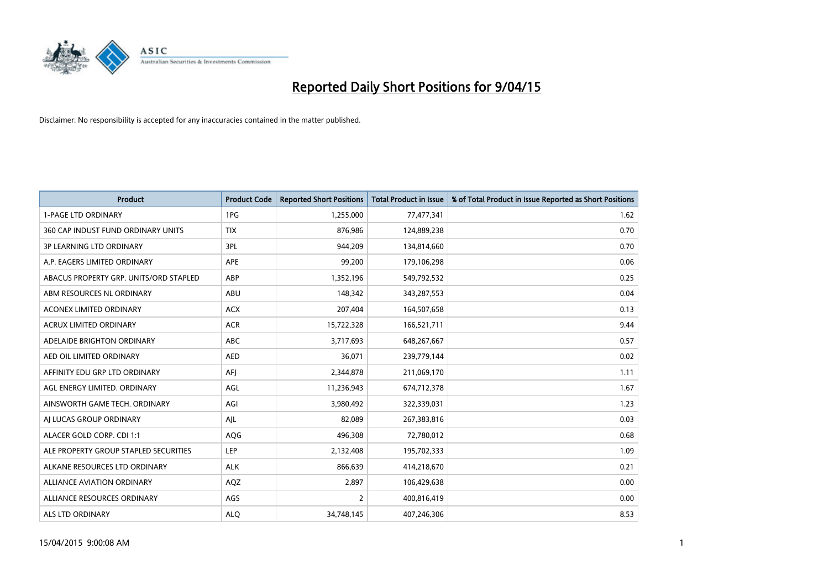

| <b>Product</b>                         | <b>Product Code</b> | <b>Reported Short Positions</b> | <b>Total Product in Issue</b> | % of Total Product in Issue Reported as Short Positions |
|----------------------------------------|---------------------|---------------------------------|-------------------------------|---------------------------------------------------------|
| <b>1-PAGE LTD ORDINARY</b>             | 1PG                 | 1,255,000                       | 77,477,341                    | 1.62                                                    |
| 360 CAP INDUST FUND ORDINARY UNITS     | <b>TIX</b>          | 876,986                         | 124,889,238                   | 0.70                                                    |
| <b>3P LEARNING LTD ORDINARY</b>        | 3PL                 | 944,209                         | 134,814,660                   | 0.70                                                    |
| A.P. EAGERS LIMITED ORDINARY           | <b>APE</b>          | 99,200                          | 179,106,298                   | 0.06                                                    |
| ABACUS PROPERTY GRP. UNITS/ORD STAPLED | ABP                 | 1,352,196                       | 549,792,532                   | 0.25                                                    |
| ABM RESOURCES NL ORDINARY              | ABU                 | 148,342                         | 343,287,553                   | 0.04                                                    |
| <b>ACONEX LIMITED ORDINARY</b>         | <b>ACX</b>          | 207,404                         | 164,507,658                   | 0.13                                                    |
| ACRUX LIMITED ORDINARY                 | <b>ACR</b>          | 15,722,328                      | 166,521,711                   | 9.44                                                    |
| ADELAIDE BRIGHTON ORDINARY             | <b>ABC</b>          | 3,717,693                       | 648,267,667                   | 0.57                                                    |
| AED OIL LIMITED ORDINARY               | <b>AED</b>          | 36,071                          | 239,779,144                   | 0.02                                                    |
| AFFINITY EDU GRP LTD ORDINARY          | AFI                 | 2,344,878                       | 211,069,170                   | 1.11                                                    |
| AGL ENERGY LIMITED, ORDINARY           | AGL                 | 11,236,943                      | 674,712,378                   | 1.67                                                    |
| AINSWORTH GAME TECH. ORDINARY          | AGI                 | 3,980,492                       | 322,339,031                   | 1.23                                                    |
| AI LUCAS GROUP ORDINARY                | AJL                 | 82,089                          | 267,383,816                   | 0.03                                                    |
| ALACER GOLD CORP. CDI 1:1              | AQG                 | 496,308                         | 72,780,012                    | 0.68                                                    |
| ALE PROPERTY GROUP STAPLED SECURITIES  | LEP                 | 2,132,408                       | 195,702,333                   | 1.09                                                    |
| ALKANE RESOURCES LTD ORDINARY          | <b>ALK</b>          | 866,639                         | 414,218,670                   | 0.21                                                    |
| <b>ALLIANCE AVIATION ORDINARY</b>      | AQZ                 | 2,897                           | 106,429,638                   | 0.00                                                    |
| ALLIANCE RESOURCES ORDINARY            | AGS                 | $\overline{2}$                  | 400,816,419                   | 0.00                                                    |
| ALS LTD ORDINARY                       | <b>ALO</b>          | 34,748,145                      | 407,246,306                   | 8.53                                                    |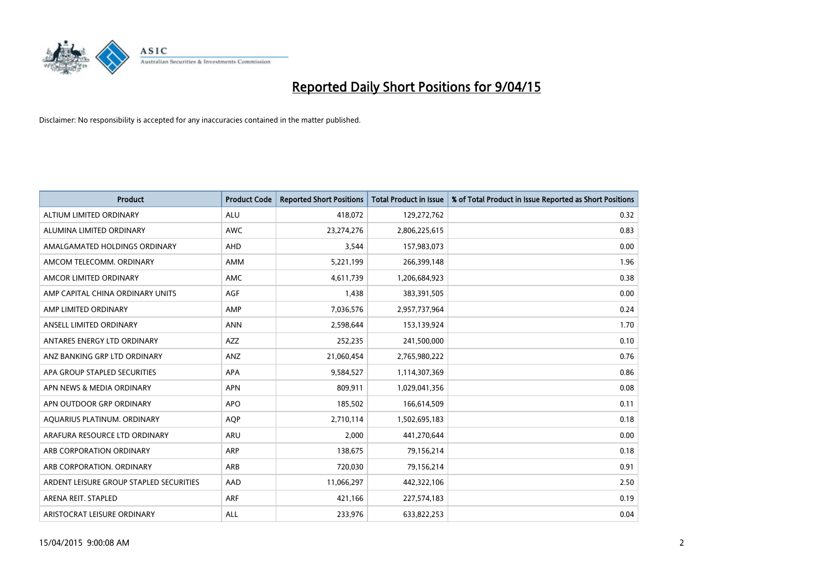

| <b>Product</b>                          | <b>Product Code</b> | <b>Reported Short Positions</b> | <b>Total Product in Issue</b> | % of Total Product in Issue Reported as Short Positions |
|-----------------------------------------|---------------------|---------------------------------|-------------------------------|---------------------------------------------------------|
| ALTIUM LIMITED ORDINARY                 | <b>ALU</b>          | 418,072                         | 129,272,762                   | 0.32                                                    |
| ALUMINA LIMITED ORDINARY                | AWC                 | 23,274,276                      | 2,806,225,615                 | 0.83                                                    |
| AMALGAMATED HOLDINGS ORDINARY           | AHD                 | 3,544                           | 157,983,073                   | 0.00                                                    |
| AMCOM TELECOMM. ORDINARY                | AMM                 | 5,221,199                       | 266,399,148                   | 1.96                                                    |
| AMCOR LIMITED ORDINARY                  | AMC                 | 4,611,739                       | 1,206,684,923                 | 0.38                                                    |
| AMP CAPITAL CHINA ORDINARY UNITS        | <b>AGF</b>          | 1,438                           | 383,391,505                   | 0.00                                                    |
| AMP LIMITED ORDINARY                    | AMP                 | 7,036,576                       | 2,957,737,964                 | 0.24                                                    |
| ANSELL LIMITED ORDINARY                 | <b>ANN</b>          | 2,598,644                       | 153,139,924                   | 1.70                                                    |
| ANTARES ENERGY LTD ORDINARY             | <b>AZZ</b>          | 252,235                         | 241,500,000                   | 0.10                                                    |
| ANZ BANKING GRP LTD ORDINARY            | ANZ                 | 21,060,454                      | 2,765,980,222                 | 0.76                                                    |
| APA GROUP STAPLED SECURITIES            | APA                 | 9,584,527                       | 1,114,307,369                 | 0.86                                                    |
| APN NEWS & MEDIA ORDINARY               | <b>APN</b>          | 809,911                         | 1,029,041,356                 | 0.08                                                    |
| APN OUTDOOR GRP ORDINARY                | <b>APO</b>          | 185,502                         | 166,614,509                   | 0.11                                                    |
| AQUARIUS PLATINUM. ORDINARY             | <b>AOP</b>          | 2,710,114                       | 1,502,695,183                 | 0.18                                                    |
| ARAFURA RESOURCE LTD ORDINARY           | <b>ARU</b>          | 2,000                           | 441,270,644                   | 0.00                                                    |
| ARB CORPORATION ORDINARY                | ARP                 | 138,675                         | 79,156,214                    | 0.18                                                    |
| ARB CORPORATION. ORDINARY               | ARB                 | 720,030                         | 79,156,214                    | 0.91                                                    |
| ARDENT LEISURE GROUP STAPLED SECURITIES | AAD                 | 11,066,297                      | 442,322,106                   | 2.50                                                    |
| ARENA REIT. STAPLED                     | <b>ARF</b>          | 421,166                         | 227,574,183                   | 0.19                                                    |
| ARISTOCRAT LEISURE ORDINARY             | ALL                 | 233,976                         | 633,822,253                   | 0.04                                                    |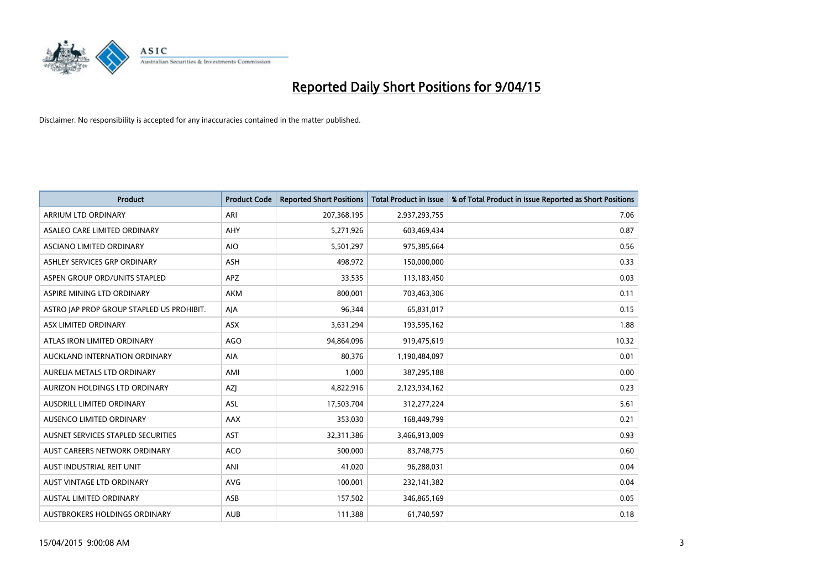

| <b>Product</b>                            | <b>Product Code</b> | <b>Reported Short Positions</b> | <b>Total Product in Issue</b> | % of Total Product in Issue Reported as Short Positions |
|-------------------------------------------|---------------------|---------------------------------|-------------------------------|---------------------------------------------------------|
| <b>ARRIUM LTD ORDINARY</b>                | ARI                 | 207,368,195                     | 2,937,293,755                 | 7.06                                                    |
| ASALEO CARE LIMITED ORDINARY              | <b>AHY</b>          | 5,271,926                       | 603,469,434                   | 0.87                                                    |
| ASCIANO LIMITED ORDINARY                  | <b>AIO</b>          | 5,501,297                       | 975,385,664                   | 0.56                                                    |
| ASHLEY SERVICES GRP ORDINARY              | <b>ASH</b>          | 498,972                         | 150,000,000                   | 0.33                                                    |
| ASPEN GROUP ORD/UNITS STAPLED             | <b>APZ</b>          | 33,535                          | 113,183,450                   | 0.03                                                    |
| ASPIRE MINING LTD ORDINARY                | AKM                 | 800,001                         | 703,463,306                   | 0.11                                                    |
| ASTRO JAP PROP GROUP STAPLED US PROHIBIT. | AJA                 | 96,344                          | 65,831,017                    | 0.15                                                    |
| ASX LIMITED ORDINARY                      | ASX                 | 3,631,294                       | 193,595,162                   | 1.88                                                    |
| ATLAS IRON LIMITED ORDINARY               | <b>AGO</b>          | 94,864,096                      | 919,475,619                   | 10.32                                                   |
| AUCKLAND INTERNATION ORDINARY             | <b>AIA</b>          | 80,376                          | 1,190,484,097                 | 0.01                                                    |
| AURELIA METALS LTD ORDINARY               | AMI                 | 1,000                           | 387,295,188                   | 0.00                                                    |
| AURIZON HOLDINGS LTD ORDINARY             | AZJ                 | 4,822,916                       | 2,123,934,162                 | 0.23                                                    |
| AUSDRILL LIMITED ORDINARY                 | ASL                 | 17,503,704                      | 312,277,224                   | 5.61                                                    |
| AUSENCO LIMITED ORDINARY                  | <b>AAX</b>          | 353,030                         | 168,449,799                   | 0.21                                                    |
| AUSNET SERVICES STAPLED SECURITIES        | <b>AST</b>          | 32,311,386                      | 3,466,913,009                 | 0.93                                                    |
| AUST CAREERS NETWORK ORDINARY             | <b>ACO</b>          | 500,000                         | 83,748,775                    | 0.60                                                    |
| AUST INDUSTRIAL REIT UNIT                 | ANI                 | 41,020                          | 96,288,031                    | 0.04                                                    |
| <b>AUST VINTAGE LTD ORDINARY</b>          | <b>AVG</b>          | 100,001                         | 232,141,382                   | 0.04                                                    |
| <b>AUSTAL LIMITED ORDINARY</b>            | ASB                 | 157,502                         | 346,865,169                   | 0.05                                                    |
| AUSTBROKERS HOLDINGS ORDINARY             | <b>AUB</b>          | 111,388                         | 61,740,597                    | 0.18                                                    |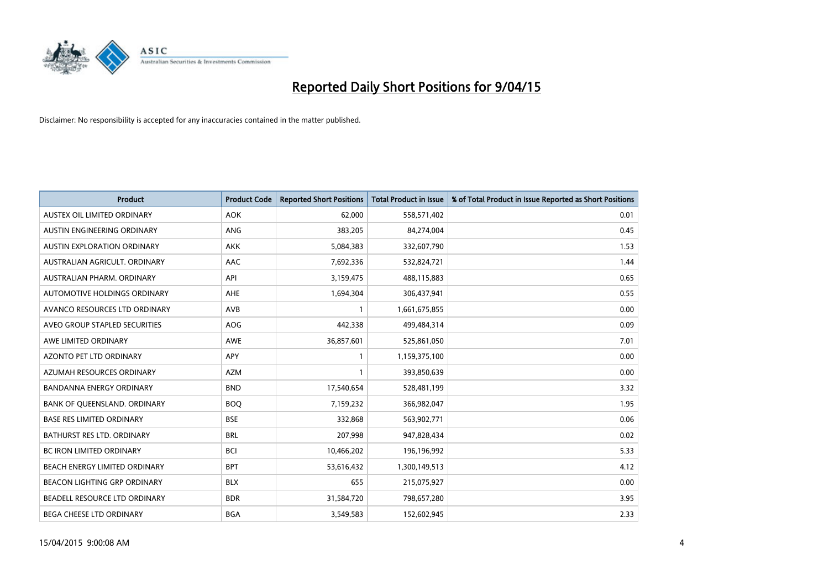

| <b>Product</b>                     | <b>Product Code</b> | <b>Reported Short Positions</b> | <b>Total Product in Issue</b> | % of Total Product in Issue Reported as Short Positions |
|------------------------------------|---------------------|---------------------------------|-------------------------------|---------------------------------------------------------|
| AUSTEX OIL LIMITED ORDINARY        | <b>AOK</b>          | 62,000                          | 558,571,402                   | 0.01                                                    |
| AUSTIN ENGINEERING ORDINARY        | ANG                 | 383,205                         | 84,274,004                    | 0.45                                                    |
| <b>AUSTIN EXPLORATION ORDINARY</b> | <b>AKK</b>          | 5,084,383                       | 332,607,790                   | 1.53                                                    |
| AUSTRALIAN AGRICULT. ORDINARY      | AAC                 | 7,692,336                       | 532,824,721                   | 1.44                                                    |
| AUSTRALIAN PHARM, ORDINARY         | API                 | 3,159,475                       | 488,115,883                   | 0.65                                                    |
| AUTOMOTIVE HOLDINGS ORDINARY       | AHE                 | 1,694,304                       | 306,437,941                   | 0.55                                                    |
| AVANCO RESOURCES LTD ORDINARY      | AVB                 |                                 | 1,661,675,855                 | 0.00                                                    |
| AVEO GROUP STAPLED SECURITIES      | AOG                 | 442,338                         | 499,484,314                   | 0.09                                                    |
| AWE LIMITED ORDINARY               | <b>AWE</b>          | 36,857,601                      | 525,861,050                   | 7.01                                                    |
| <b>AZONTO PET LTD ORDINARY</b>     | APY                 | 1                               | 1,159,375,100                 | 0.00                                                    |
| AZUMAH RESOURCES ORDINARY          | <b>AZM</b>          | $\mathbf{1}$                    | 393,850,639                   | 0.00                                                    |
| <b>BANDANNA ENERGY ORDINARY</b>    | <b>BND</b>          | 17,540,654                      | 528,481,199                   | 3.32                                                    |
| BANK OF QUEENSLAND. ORDINARY       | <b>BOO</b>          | 7,159,232                       | 366,982,047                   | 1.95                                                    |
| <b>BASE RES LIMITED ORDINARY</b>   | <b>BSE</b>          | 332,868                         | 563,902,771                   | 0.06                                                    |
| BATHURST RES LTD. ORDINARY         | <b>BRL</b>          | 207,998                         | 947,828,434                   | 0.02                                                    |
| BC IRON LIMITED ORDINARY           | <b>BCI</b>          | 10,466,202                      | 196,196,992                   | 5.33                                                    |
| BEACH ENERGY LIMITED ORDINARY      | <b>BPT</b>          | 53,616,432                      | 1,300,149,513                 | 4.12                                                    |
| BEACON LIGHTING GRP ORDINARY       | <b>BLX</b>          | 655                             | 215,075,927                   | 0.00                                                    |
| BEADELL RESOURCE LTD ORDINARY      | <b>BDR</b>          | 31,584,720                      | 798,657,280                   | 3.95                                                    |
| BEGA CHEESE LTD ORDINARY           | <b>BGA</b>          | 3,549,583                       | 152,602,945                   | 2.33                                                    |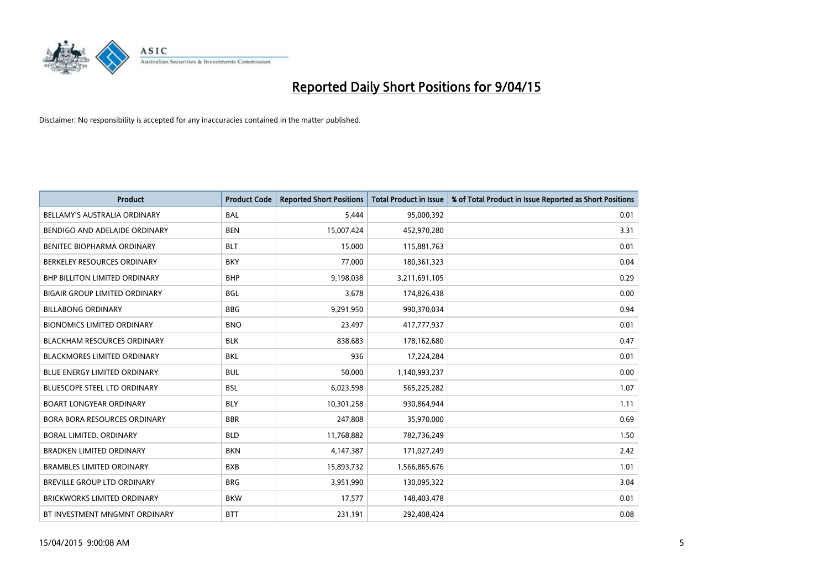

| <b>Product</b>                       | <b>Product Code</b> | <b>Reported Short Positions</b> | <b>Total Product in Issue</b> | % of Total Product in Issue Reported as Short Positions |
|--------------------------------------|---------------------|---------------------------------|-------------------------------|---------------------------------------------------------|
| <b>BELLAMY'S AUSTRALIA ORDINARY</b>  | <b>BAL</b>          | 5,444                           | 95,000,392                    | 0.01                                                    |
| BENDIGO AND ADELAIDE ORDINARY        | <b>BEN</b>          | 15,007,424                      | 452,970,280                   | 3.31                                                    |
| BENITEC BIOPHARMA ORDINARY           | <b>BLT</b>          | 15,000                          | 115,881,763                   | 0.01                                                    |
| BERKELEY RESOURCES ORDINARY          | <b>BKY</b>          | 77,000                          | 180,361,323                   | 0.04                                                    |
| <b>BHP BILLITON LIMITED ORDINARY</b> | <b>BHP</b>          | 9,198,038                       | 3,211,691,105                 | 0.29                                                    |
| <b>BIGAIR GROUP LIMITED ORDINARY</b> | <b>BGL</b>          | 3,678                           | 174,826,438                   | 0.00                                                    |
| <b>BILLABONG ORDINARY</b>            | <b>BBG</b>          | 9,291,950                       | 990,370,034                   | 0.94                                                    |
| <b>BIONOMICS LIMITED ORDINARY</b>    | <b>BNO</b>          | 23,497                          | 417,777,937                   | 0.01                                                    |
| <b>BLACKHAM RESOURCES ORDINARY</b>   | <b>BLK</b>          | 838,683                         | 178,162,680                   | 0.47                                                    |
| <b>BLACKMORES LIMITED ORDINARY</b>   | <b>BKL</b>          | 936                             | 17,224,284                    | 0.01                                                    |
| BLUE ENERGY LIMITED ORDINARY         | <b>BUL</b>          | 50,000                          | 1,140,993,237                 | 0.00                                                    |
| <b>BLUESCOPE STEEL LTD ORDINARY</b>  | <b>BSL</b>          | 6,023,598                       | 565,225,282                   | 1.07                                                    |
| <b>BOART LONGYEAR ORDINARY</b>       | <b>BLY</b>          | 10,301,258                      | 930,864,944                   | 1.11                                                    |
| <b>BORA BORA RESOURCES ORDINARY</b>  | <b>BBR</b>          | 247,808                         | 35,970,000                    | 0.69                                                    |
| <b>BORAL LIMITED, ORDINARY</b>       | <b>BLD</b>          | 11,768,882                      | 782,736,249                   | 1.50                                                    |
| <b>BRADKEN LIMITED ORDINARY</b>      | <b>BKN</b>          | 4,147,387                       | 171,027,249                   | 2.42                                                    |
| <b>BRAMBLES LIMITED ORDINARY</b>     | <b>BXB</b>          | 15,893,732                      | 1,566,865,676                 | 1.01                                                    |
| BREVILLE GROUP LTD ORDINARY          | <b>BRG</b>          | 3,951,990                       | 130,095,322                   | 3.04                                                    |
| <b>BRICKWORKS LIMITED ORDINARY</b>   | <b>BKW</b>          | 17,577                          | 148,403,478                   | 0.01                                                    |
| BT INVESTMENT MNGMNT ORDINARY        | <b>BTT</b>          | 231,191                         | 292,408,424                   | 0.08                                                    |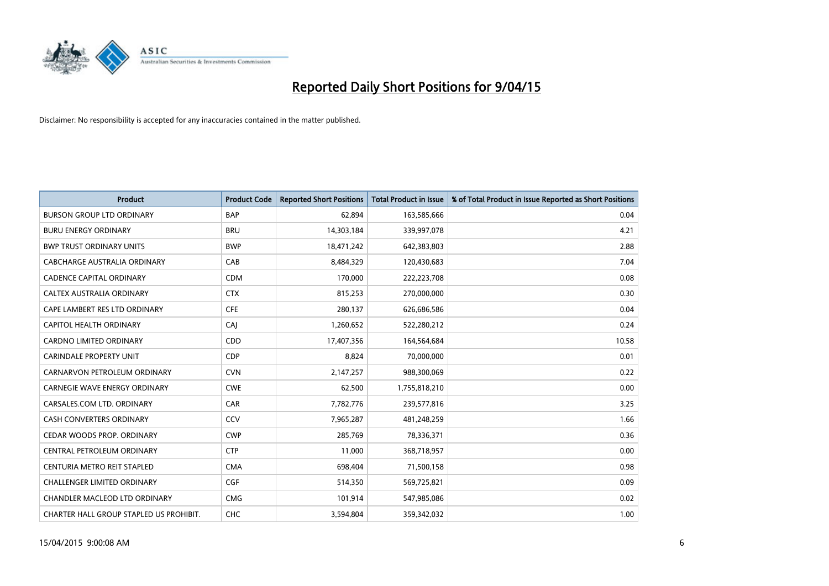

| <b>Product</b>                          | <b>Product Code</b> | <b>Reported Short Positions</b> | <b>Total Product in Issue</b> | % of Total Product in Issue Reported as Short Positions |
|-----------------------------------------|---------------------|---------------------------------|-------------------------------|---------------------------------------------------------|
| <b>BURSON GROUP LTD ORDINARY</b>        | <b>BAP</b>          | 62,894                          | 163,585,666                   | 0.04                                                    |
| <b>BURU ENERGY ORDINARY</b>             | <b>BRU</b>          | 14,303,184                      | 339,997,078                   | 4.21                                                    |
| <b>BWP TRUST ORDINARY UNITS</b>         | <b>BWP</b>          | 18,471,242                      | 642,383,803                   | 2.88                                                    |
| CABCHARGE AUSTRALIA ORDINARY            | CAB                 | 8,484,329                       | 120,430,683                   | 7.04                                                    |
| <b>CADENCE CAPITAL ORDINARY</b>         | <b>CDM</b>          | 170,000                         | 222,223,708                   | 0.08                                                    |
| CALTEX AUSTRALIA ORDINARY               | <b>CTX</b>          | 815,253                         | 270,000,000                   | 0.30                                                    |
| CAPE LAMBERT RES LTD ORDINARY           | <b>CFE</b>          | 280,137                         | 626,686,586                   | 0.04                                                    |
| <b>CAPITOL HEALTH ORDINARY</b>          | CAJ                 | 1,260,652                       | 522,280,212                   | 0.24                                                    |
| <b>CARDNO LIMITED ORDINARY</b>          | CDD                 | 17,407,356                      | 164,564,684                   | 10.58                                                   |
| <b>CARINDALE PROPERTY UNIT</b>          | <b>CDP</b>          | 8,824                           | 70,000,000                    | 0.01                                                    |
| CARNARVON PETROLEUM ORDINARY            | <b>CVN</b>          | 2,147,257                       | 988,300,069                   | 0.22                                                    |
| <b>CARNEGIE WAVE ENERGY ORDINARY</b>    | <b>CWE</b>          | 62,500                          | 1,755,818,210                 | 0.00                                                    |
| CARSALES.COM LTD. ORDINARY              | CAR                 | 7,782,776                       | 239,577,816                   | 3.25                                                    |
| <b>CASH CONVERTERS ORDINARY</b>         | CCV                 | 7,965,287                       | 481,248,259                   | 1.66                                                    |
| CEDAR WOODS PROP. ORDINARY              | <b>CWP</b>          | 285,769                         | 78,336,371                    | 0.36                                                    |
| CENTRAL PETROLEUM ORDINARY              | <b>CTP</b>          | 11,000                          | 368,718,957                   | 0.00                                                    |
| CENTURIA METRO REIT STAPLED             | <b>CMA</b>          | 698,404                         | 71,500,158                    | 0.98                                                    |
| <b>CHALLENGER LIMITED ORDINARY</b>      | <b>CGF</b>          | 514,350                         | 569,725,821                   | 0.09                                                    |
| CHANDLER MACLEOD LTD ORDINARY           | <b>CMG</b>          | 101,914                         | 547,985,086                   | 0.02                                                    |
| CHARTER HALL GROUP STAPLED US PROHIBIT. | <b>CHC</b>          | 3,594,804                       | 359,342,032                   | 1.00                                                    |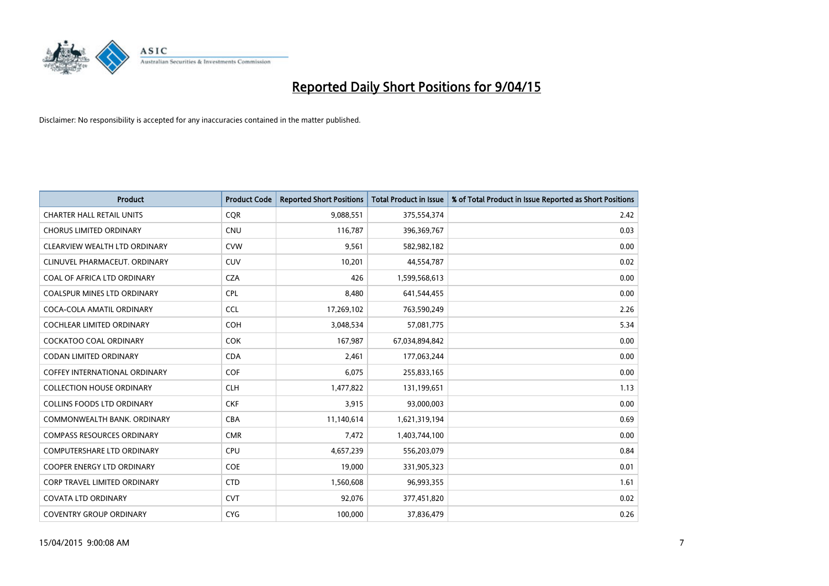

| <b>Product</b>                      | <b>Product Code</b> | <b>Reported Short Positions</b> | <b>Total Product in Issue</b> | % of Total Product in Issue Reported as Short Positions |
|-------------------------------------|---------------------|---------------------------------|-------------------------------|---------------------------------------------------------|
| <b>CHARTER HALL RETAIL UNITS</b>    | <b>COR</b>          | 9,088,551                       | 375,554,374                   | 2.42                                                    |
| <b>CHORUS LIMITED ORDINARY</b>      | <b>CNU</b>          | 116,787                         | 396,369,767                   | 0.03                                                    |
| CLEARVIEW WEALTH LTD ORDINARY       | <b>CVW</b>          | 9,561                           | 582,982,182                   | 0.00                                                    |
| CLINUVEL PHARMACEUT. ORDINARY       | <b>CUV</b>          | 10,201                          | 44,554,787                    | 0.02                                                    |
| COAL OF AFRICA LTD ORDINARY         | <b>CZA</b>          | 426                             | 1,599,568,613                 | 0.00                                                    |
| <b>COALSPUR MINES LTD ORDINARY</b>  | <b>CPL</b>          | 8,480                           | 641,544,455                   | 0.00                                                    |
| COCA-COLA AMATIL ORDINARY           | <b>CCL</b>          | 17,269,102                      | 763,590,249                   | 2.26                                                    |
| COCHLEAR LIMITED ORDINARY           | <b>COH</b>          | 3,048,534                       | 57,081,775                    | 5.34                                                    |
| <b>COCKATOO COAL ORDINARY</b>       | <b>COK</b>          | 167,987                         | 67,034,894,842                | 0.00                                                    |
| <b>CODAN LIMITED ORDINARY</b>       | <b>CDA</b>          | 2,461                           | 177,063,244                   | 0.00                                                    |
| COFFEY INTERNATIONAL ORDINARY       | <b>COF</b>          | 6,075                           | 255,833,165                   | 0.00                                                    |
| <b>COLLECTION HOUSE ORDINARY</b>    | <b>CLH</b>          | 1,477,822                       | 131,199,651                   | 1.13                                                    |
| <b>COLLINS FOODS LTD ORDINARY</b>   | <b>CKF</b>          | 3,915                           | 93,000,003                    | 0.00                                                    |
| COMMONWEALTH BANK, ORDINARY         | <b>CBA</b>          | 11,140,614                      | 1,621,319,194                 | 0.69                                                    |
| <b>COMPASS RESOURCES ORDINARY</b>   | <b>CMR</b>          | 7,472                           | 1,403,744,100                 | 0.00                                                    |
| COMPUTERSHARE LTD ORDINARY          | <b>CPU</b>          | 4,657,239                       | 556,203,079                   | 0.84                                                    |
| COOPER ENERGY LTD ORDINARY          | <b>COE</b>          | 19,000                          | 331,905,323                   | 0.01                                                    |
| <b>CORP TRAVEL LIMITED ORDINARY</b> | <b>CTD</b>          | 1,560,608                       | 96,993,355                    | 1.61                                                    |
| <b>COVATA LTD ORDINARY</b>          | <b>CVT</b>          | 92,076                          | 377,451,820                   | 0.02                                                    |
| <b>COVENTRY GROUP ORDINARY</b>      | <b>CYG</b>          | 100,000                         | 37,836,479                    | 0.26                                                    |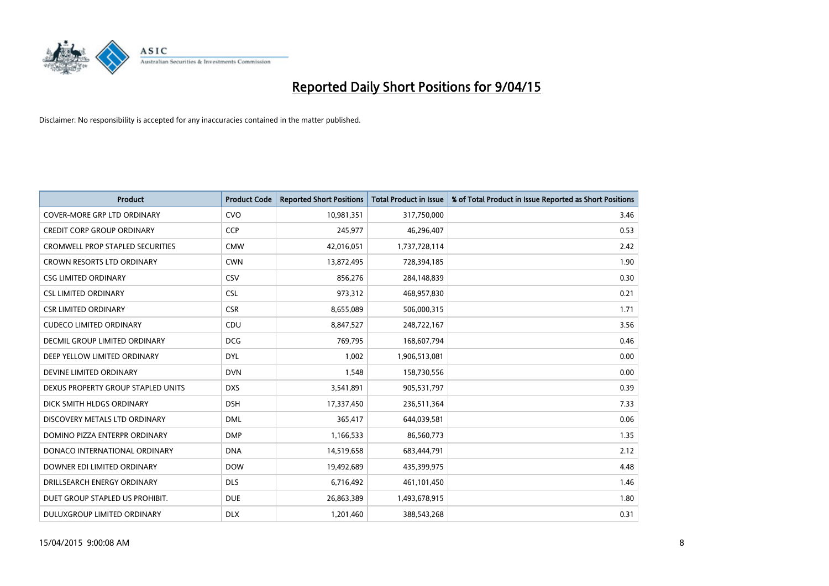

| <b>Product</b>                          | <b>Product Code</b> | <b>Reported Short Positions</b> | <b>Total Product in Issue</b> | % of Total Product in Issue Reported as Short Positions |
|-----------------------------------------|---------------------|---------------------------------|-------------------------------|---------------------------------------------------------|
| <b>COVER-MORE GRP LTD ORDINARY</b>      | <b>CVO</b>          | 10,981,351                      | 317,750,000                   | 3.46                                                    |
| <b>CREDIT CORP GROUP ORDINARY</b>       | <b>CCP</b>          | 245,977                         | 46,296,407                    | 0.53                                                    |
| <b>CROMWELL PROP STAPLED SECURITIES</b> | <b>CMW</b>          | 42,016,051                      | 1,737,728,114                 | 2.42                                                    |
| CROWN RESORTS LTD ORDINARY              | <b>CWN</b>          | 13,872,495                      | 728,394,185                   | 1.90                                                    |
| <b>CSG LIMITED ORDINARY</b>             | CSV                 | 856,276                         | 284,148,839                   | 0.30                                                    |
| <b>CSL LIMITED ORDINARY</b>             | <b>CSL</b>          | 973,312                         | 468,957,830                   | 0.21                                                    |
| <b>CSR LIMITED ORDINARY</b>             | <b>CSR</b>          | 8,655,089                       | 506,000,315                   | 1.71                                                    |
| <b>CUDECO LIMITED ORDINARY</b>          | CDU                 | 8,847,527                       | 248,722,167                   | 3.56                                                    |
| DECMIL GROUP LIMITED ORDINARY           | <b>DCG</b>          | 769,795                         | 168,607,794                   | 0.46                                                    |
| DEEP YELLOW LIMITED ORDINARY            | <b>DYL</b>          | 1,002                           | 1,906,513,081                 | 0.00                                                    |
| DEVINE LIMITED ORDINARY                 | <b>DVN</b>          | 1,548                           | 158,730,556                   | 0.00                                                    |
| DEXUS PROPERTY GROUP STAPLED UNITS      | <b>DXS</b>          | 3,541,891                       | 905,531,797                   | 0.39                                                    |
| DICK SMITH HLDGS ORDINARY               | <b>DSH</b>          | 17,337,450                      | 236,511,364                   | 7.33                                                    |
| DISCOVERY METALS LTD ORDINARY           | <b>DML</b>          | 365,417                         | 644,039,581                   | 0.06                                                    |
| DOMINO PIZZA ENTERPR ORDINARY           | <b>DMP</b>          | 1,166,533                       | 86,560,773                    | 1.35                                                    |
| DONACO INTERNATIONAL ORDINARY           | <b>DNA</b>          | 14,519,658                      | 683,444,791                   | 2.12                                                    |
| DOWNER EDI LIMITED ORDINARY             | <b>DOW</b>          | 19,492,689                      | 435,399,975                   | 4.48                                                    |
| DRILLSEARCH ENERGY ORDINARY             | <b>DLS</b>          | 6,716,492                       | 461,101,450                   | 1.46                                                    |
| DUET GROUP STAPLED US PROHIBIT.         | <b>DUE</b>          | 26,863,389                      | 1,493,678,915                 | 1.80                                                    |
| DULUXGROUP LIMITED ORDINARY             | <b>DLX</b>          | 1,201,460                       | 388,543,268                   | 0.31                                                    |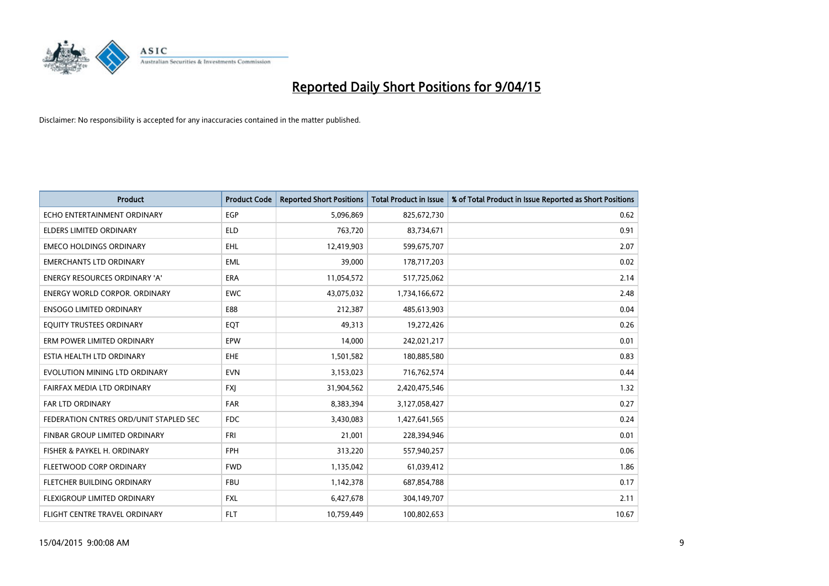

| <b>Product</b>                         | <b>Product Code</b> | <b>Reported Short Positions</b> | <b>Total Product in Issue</b> | % of Total Product in Issue Reported as Short Positions |
|----------------------------------------|---------------------|---------------------------------|-------------------------------|---------------------------------------------------------|
| ECHO ENTERTAINMENT ORDINARY            | EGP                 | 5,096,869                       | 825,672,730                   | 0.62                                                    |
| ELDERS LIMITED ORDINARY                | <b>ELD</b>          | 763,720                         | 83,734,671                    | 0.91                                                    |
| <b>EMECO HOLDINGS ORDINARY</b>         | <b>EHL</b>          | 12,419,903                      | 599,675,707                   | 2.07                                                    |
| <b>EMERCHANTS LTD ORDINARY</b>         | <b>EML</b>          | 39,000                          | 178,717,203                   | 0.02                                                    |
| <b>ENERGY RESOURCES ORDINARY 'A'</b>   | ERA                 | 11,054,572                      | 517,725,062                   | 2.14                                                    |
| <b>ENERGY WORLD CORPOR, ORDINARY</b>   | <b>EWC</b>          | 43,075,032                      | 1,734,166,672                 | 2.48                                                    |
| <b>ENSOGO LIMITED ORDINARY</b>         | E88                 | 212,387                         | 485,613,903                   | 0.04                                                    |
| EQUITY TRUSTEES ORDINARY               | EQT                 | 49,313                          | 19,272,426                    | 0.26                                                    |
| ERM POWER LIMITED ORDINARY             | EPW                 | 14,000                          | 242,021,217                   | 0.01                                                    |
| ESTIA HEALTH LTD ORDINARY              | EHE                 | 1,501,582                       | 180,885,580                   | 0.83                                                    |
| EVOLUTION MINING LTD ORDINARY          | <b>EVN</b>          | 3,153,023                       | 716,762,574                   | 0.44                                                    |
| FAIRFAX MEDIA LTD ORDINARY             | FXJ                 | 31,904,562                      | 2,420,475,546                 | 1.32                                                    |
| FAR LTD ORDINARY                       | <b>FAR</b>          | 8,383,394                       | 3,127,058,427                 | 0.27                                                    |
| FEDERATION CNTRES ORD/UNIT STAPLED SEC | <b>FDC</b>          | 3,430,083                       | 1,427,641,565                 | 0.24                                                    |
| FINBAR GROUP LIMITED ORDINARY          | <b>FRI</b>          | 21,001                          | 228,394,946                   | 0.01                                                    |
| FISHER & PAYKEL H. ORDINARY            | <b>FPH</b>          | 313,220                         | 557,940,257                   | 0.06                                                    |
| FLEETWOOD CORP ORDINARY                | <b>FWD</b>          | 1,135,042                       | 61,039,412                    | 1.86                                                    |
| FLETCHER BUILDING ORDINARY             | <b>FBU</b>          | 1,142,378                       | 687,854,788                   | 0.17                                                    |
| FLEXIGROUP LIMITED ORDINARY            | <b>FXL</b>          | 6,427,678                       | 304,149,707                   | 2.11                                                    |
| FLIGHT CENTRE TRAVEL ORDINARY          | <b>FLT</b>          | 10,759,449                      | 100,802,653                   | 10.67                                                   |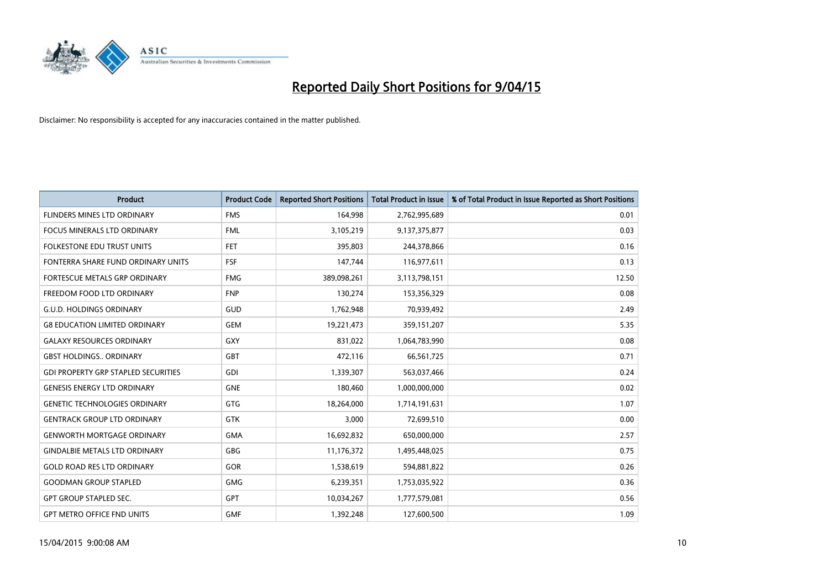

| <b>Product</b>                             | <b>Product Code</b> | <b>Reported Short Positions</b> | <b>Total Product in Issue</b> | % of Total Product in Issue Reported as Short Positions |
|--------------------------------------------|---------------------|---------------------------------|-------------------------------|---------------------------------------------------------|
| FLINDERS MINES LTD ORDINARY                | <b>FMS</b>          | 164,998                         | 2,762,995,689                 | 0.01                                                    |
| FOCUS MINERALS LTD ORDINARY                | <b>FML</b>          | 3,105,219                       | 9,137,375,877                 | 0.03                                                    |
| FOLKESTONE EDU TRUST UNITS                 | <b>FET</b>          | 395,803                         | 244,378,866                   | 0.16                                                    |
| FONTERRA SHARE FUND ORDINARY UNITS         | <b>FSF</b>          | 147,744                         | 116,977,611                   | 0.13                                                    |
| FORTESCUE METALS GRP ORDINARY              | <b>FMG</b>          | 389,098,261                     | 3,113,798,151                 | 12.50                                                   |
| FREEDOM FOOD LTD ORDINARY                  | <b>FNP</b>          | 130,274                         | 153,356,329                   | 0.08                                                    |
| <b>G.U.D. HOLDINGS ORDINARY</b>            | GUD                 | 1,762,948                       | 70,939,492                    | 2.49                                                    |
| <b>G8 EDUCATION LIMITED ORDINARY</b>       | <b>GEM</b>          | 19,221,473                      | 359,151,207                   | 5.35                                                    |
| <b>GALAXY RESOURCES ORDINARY</b>           | GXY                 | 831,022                         | 1,064,783,990                 | 0.08                                                    |
| <b>GBST HOLDINGS., ORDINARY</b>            | <b>GBT</b>          | 472,116                         | 66,561,725                    | 0.71                                                    |
| <b>GDI PROPERTY GRP STAPLED SECURITIES</b> | <b>GDI</b>          | 1,339,307                       | 563,037,466                   | 0.24                                                    |
| <b>GENESIS ENERGY LTD ORDINARY</b>         | <b>GNE</b>          | 180,460                         | 1,000,000,000                 | 0.02                                                    |
| <b>GENETIC TECHNOLOGIES ORDINARY</b>       | GTG                 | 18,264,000                      | 1,714,191,631                 | 1.07                                                    |
| <b>GENTRACK GROUP LTD ORDINARY</b>         | <b>GTK</b>          | 3,000                           | 72,699,510                    | 0.00                                                    |
| <b>GENWORTH MORTGAGE ORDINARY</b>          | <b>GMA</b>          | 16,692,832                      | 650,000,000                   | 2.57                                                    |
| <b>GINDALBIE METALS LTD ORDINARY</b>       | GBG                 | 11,176,372                      | 1,495,448,025                 | 0.75                                                    |
| <b>GOLD ROAD RES LTD ORDINARY</b>          | GOR                 | 1,538,619                       | 594,881,822                   | 0.26                                                    |
| <b>GOODMAN GROUP STAPLED</b>               | <b>GMG</b>          | 6,239,351                       | 1,753,035,922                 | 0.36                                                    |
| <b>GPT GROUP STAPLED SEC.</b>              | <b>GPT</b>          | 10,034,267                      | 1,777,579,081                 | 0.56                                                    |
| <b>GPT METRO OFFICE FND UNITS</b>          | <b>GMF</b>          | 1,392,248                       | 127,600,500                   | 1.09                                                    |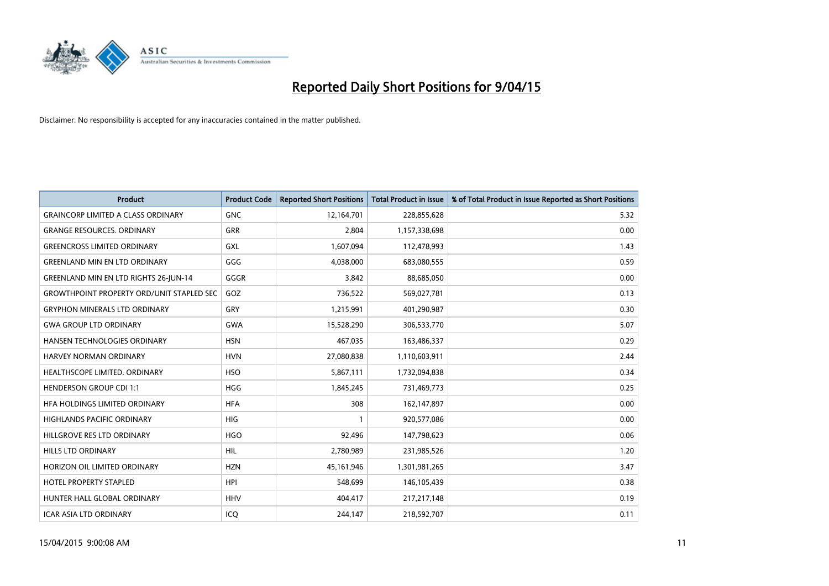

| <b>Product</b>                                   | <b>Product Code</b> | <b>Reported Short Positions</b> | <b>Total Product in Issue</b> | % of Total Product in Issue Reported as Short Positions |
|--------------------------------------------------|---------------------|---------------------------------|-------------------------------|---------------------------------------------------------|
| <b>GRAINCORP LIMITED A CLASS ORDINARY</b>        | <b>GNC</b>          | 12,164,701                      | 228,855,628                   | 5.32                                                    |
| <b>GRANGE RESOURCES. ORDINARY</b>                | GRR                 | 2,804                           | 1,157,338,698                 | 0.00                                                    |
| <b>GREENCROSS LIMITED ORDINARY</b>               | <b>GXL</b>          | 1,607,094                       | 112,478,993                   | 1.43                                                    |
| <b>GREENLAND MIN EN LTD ORDINARY</b>             | GGG                 | 4,038,000                       | 683,080,555                   | 0.59                                                    |
| <b>GREENLAND MIN EN LTD RIGHTS 26-JUN-14</b>     | GGGR                | 3,842                           | 88,685,050                    | 0.00                                                    |
| <b>GROWTHPOINT PROPERTY ORD/UNIT STAPLED SEC</b> | GOZ                 | 736,522                         | 569,027,781                   | 0.13                                                    |
| <b>GRYPHON MINERALS LTD ORDINARY</b>             | <b>GRY</b>          | 1,215,991                       | 401,290,987                   | 0.30                                                    |
| <b>GWA GROUP LTD ORDINARY</b>                    | GWA                 | 15,528,290                      | 306,533,770                   | 5.07                                                    |
| HANSEN TECHNOLOGIES ORDINARY                     | <b>HSN</b>          | 467,035                         | 163,486,337                   | 0.29                                                    |
| <b>HARVEY NORMAN ORDINARY</b>                    | <b>HVN</b>          | 27,080,838                      | 1,110,603,911                 | 2.44                                                    |
| HEALTHSCOPE LIMITED. ORDINARY                    | <b>HSO</b>          | 5,867,111                       | 1,732,094,838                 | 0.34                                                    |
| <b>HENDERSON GROUP CDI 1:1</b>                   | <b>HGG</b>          | 1,845,245                       | 731,469,773                   | 0.25                                                    |
| HFA HOLDINGS LIMITED ORDINARY                    | <b>HFA</b>          | 308                             | 162,147,897                   | 0.00                                                    |
| HIGHLANDS PACIFIC ORDINARY                       | HIG                 | $\mathbf{1}$                    | 920,577,086                   | 0.00                                                    |
| HILLGROVE RES LTD ORDINARY                       | <b>HGO</b>          | 92,496                          | 147,798,623                   | 0.06                                                    |
| HILLS LTD ORDINARY                               | <b>HIL</b>          | 2,780,989                       | 231,985,526                   | 1.20                                                    |
| HORIZON OIL LIMITED ORDINARY                     | <b>HZN</b>          | 45,161,946                      | 1,301,981,265                 | 3.47                                                    |
| <b>HOTEL PROPERTY STAPLED</b>                    | <b>HPI</b>          | 548,699                         | 146,105,439                   | 0.38                                                    |
| HUNTER HALL GLOBAL ORDINARY                      | <b>HHV</b>          | 404,417                         | 217, 217, 148                 | 0.19                                                    |
| ICAR ASIA LTD ORDINARY                           | ICQ                 | 244,147                         | 218,592,707                   | 0.11                                                    |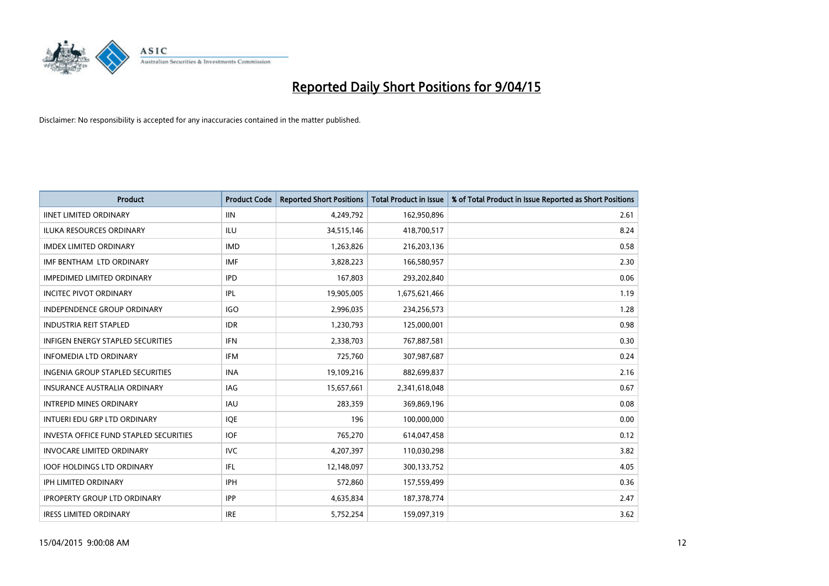

| <b>Product</b>                                | <b>Product Code</b> | <b>Reported Short Positions</b> | <b>Total Product in Issue</b> | % of Total Product in Issue Reported as Short Positions |
|-----------------------------------------------|---------------------|---------------------------------|-------------------------------|---------------------------------------------------------|
| <b>IINET LIMITED ORDINARY</b>                 | <b>IIN</b>          | 4,249,792                       | 162,950,896                   | 2.61                                                    |
| <b>ILUKA RESOURCES ORDINARY</b>               | <b>ILU</b>          | 34,515,146                      | 418,700,517                   | 8.24                                                    |
| <b>IMDEX LIMITED ORDINARY</b>                 | <b>IMD</b>          | 1,263,826                       | 216,203,136                   | 0.58                                                    |
| IMF BENTHAM LTD ORDINARY                      | <b>IMF</b>          | 3,828,223                       | 166,580,957                   | 2.30                                                    |
| <b>IMPEDIMED LIMITED ORDINARY</b>             | <b>IPD</b>          | 167,803                         | 293,202,840                   | 0.06                                                    |
| <b>INCITEC PIVOT ORDINARY</b>                 | <b>IPL</b>          | 19,905,005                      | 1,675,621,466                 | 1.19                                                    |
| <b>INDEPENDENCE GROUP ORDINARY</b>            | <b>IGO</b>          | 2,996,035                       | 234,256,573                   | 1.28                                                    |
| <b>INDUSTRIA REIT STAPLED</b>                 | <b>IDR</b>          | 1,230,793                       | 125,000,001                   | 0.98                                                    |
| <b>INFIGEN ENERGY STAPLED SECURITIES</b>      | <b>IFN</b>          | 2,338,703                       | 767,887,581                   | 0.30                                                    |
| <b>INFOMEDIA LTD ORDINARY</b>                 | <b>IFM</b>          | 725,760                         | 307,987,687                   | 0.24                                                    |
| INGENIA GROUP STAPLED SECURITIES              | <b>INA</b>          | 19,109,216                      | 882,699,837                   | 2.16                                                    |
| <b>INSURANCE AUSTRALIA ORDINARY</b>           | IAG                 | 15,657,661                      | 2,341,618,048                 | 0.67                                                    |
| <b>INTREPID MINES ORDINARY</b>                | <b>IAU</b>          | 283,359                         | 369,869,196                   | 0.08                                                    |
| INTUERI EDU GRP LTD ORDINARY                  | IQE                 | 196                             | 100,000,000                   | 0.00                                                    |
| <b>INVESTA OFFICE FUND STAPLED SECURITIES</b> | <b>IOF</b>          | 765,270                         | 614,047,458                   | 0.12                                                    |
| <b>INVOCARE LIMITED ORDINARY</b>              | <b>IVC</b>          | 4,207,397                       | 110,030,298                   | 3.82                                                    |
| <b>IOOF HOLDINGS LTD ORDINARY</b>             | IFL                 | 12,148,097                      | 300,133,752                   | 4.05                                                    |
| <b>IPH LIMITED ORDINARY</b>                   | <b>IPH</b>          | 572,860                         | 157,559,499                   | 0.36                                                    |
| <b>IPROPERTY GROUP LTD ORDINARY</b>           | <b>IPP</b>          | 4,635,834                       | 187, 378, 774                 | 2.47                                                    |
| <b>IRESS LIMITED ORDINARY</b>                 | <b>IRE</b>          | 5,752,254                       | 159,097,319                   | 3.62                                                    |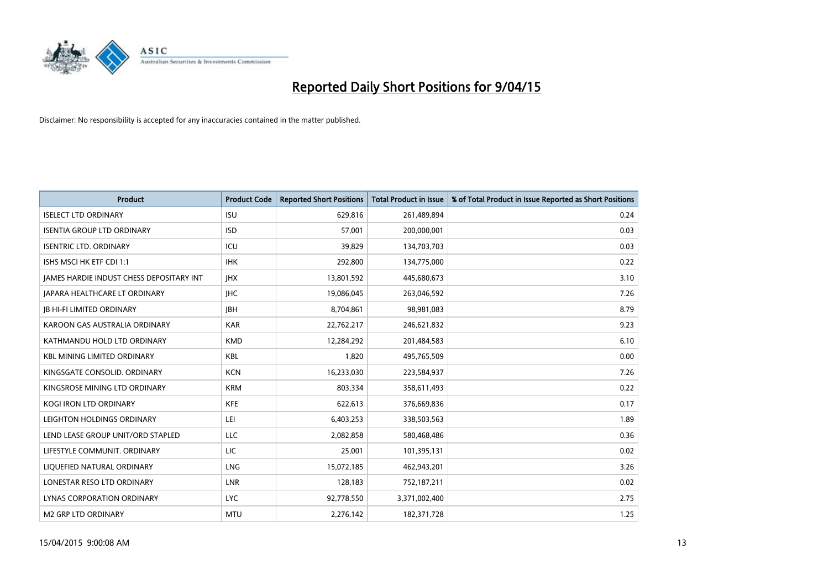

| Product                                         | <b>Product Code</b> | <b>Reported Short Positions</b> | <b>Total Product in Issue</b> | % of Total Product in Issue Reported as Short Positions |
|-------------------------------------------------|---------------------|---------------------------------|-------------------------------|---------------------------------------------------------|
| <b>ISELECT LTD ORDINARY</b>                     | <b>ISU</b>          | 629,816                         | 261,489,894                   | 0.24                                                    |
| <b>ISENTIA GROUP LTD ORDINARY</b>               | <b>ISD</b>          | 57,001                          | 200,000,001                   | 0.03                                                    |
| <b>ISENTRIC LTD. ORDINARY</b>                   | ICU                 | 39,829                          | 134,703,703                   | 0.03                                                    |
| ISHS MSCI HK ETF CDI 1:1                        | <b>IHK</b>          | 292,800                         | 134,775,000                   | 0.22                                                    |
| <b>IAMES HARDIE INDUST CHESS DEPOSITARY INT</b> | <b>IHX</b>          | 13,801,592                      | 445,680,673                   | 3.10                                                    |
| JAPARA HEALTHCARE LT ORDINARY                   | <b>IHC</b>          | 19,086,045                      | 263,046,592                   | 7.26                                                    |
| <b>JB HI-FI LIMITED ORDINARY</b>                | <b>IBH</b>          | 8,704,861                       | 98,981,083                    | 8.79                                                    |
| KAROON GAS AUSTRALIA ORDINARY                   | <b>KAR</b>          | 22,762,217                      | 246,621,832                   | 9.23                                                    |
| KATHMANDU HOLD LTD ORDINARY                     | <b>KMD</b>          | 12,284,292                      | 201,484,583                   | 6.10                                                    |
| <b>KBL MINING LIMITED ORDINARY</b>              | <b>KBL</b>          | 1,820                           | 495,765,509                   | 0.00                                                    |
| KINGSGATE CONSOLID. ORDINARY                    | <b>KCN</b>          | 16,233,030                      | 223,584,937                   | 7.26                                                    |
| KINGSROSE MINING LTD ORDINARY                   | <b>KRM</b>          | 803,334                         | 358,611,493                   | 0.22                                                    |
| KOGI IRON LTD ORDINARY                          | <b>KFE</b>          | 622,613                         | 376,669,836                   | 0.17                                                    |
| LEIGHTON HOLDINGS ORDINARY                      | LEI                 | 6,403,253                       | 338,503,563                   | 1.89                                                    |
| LEND LEASE GROUP UNIT/ORD STAPLED               | <b>LLC</b>          | 2,082,858                       | 580,468,486                   | 0.36                                                    |
| LIFESTYLE COMMUNIT. ORDINARY                    | LIC                 | 25,001                          | 101,395,131                   | 0.02                                                    |
| LIQUEFIED NATURAL ORDINARY                      | <b>LNG</b>          | 15,072,185                      | 462,943,201                   | 3.26                                                    |
| LONESTAR RESO LTD ORDINARY                      | <b>LNR</b>          | 128,183                         | 752,187,211                   | 0.02                                                    |
| LYNAS CORPORATION ORDINARY                      | <b>LYC</b>          | 92,778,550                      | 3,371,002,400                 | 2.75                                                    |
| <b>M2 GRP LTD ORDINARY</b>                      | <b>MTU</b>          | 2,276,142                       | 182,371,728                   | 1.25                                                    |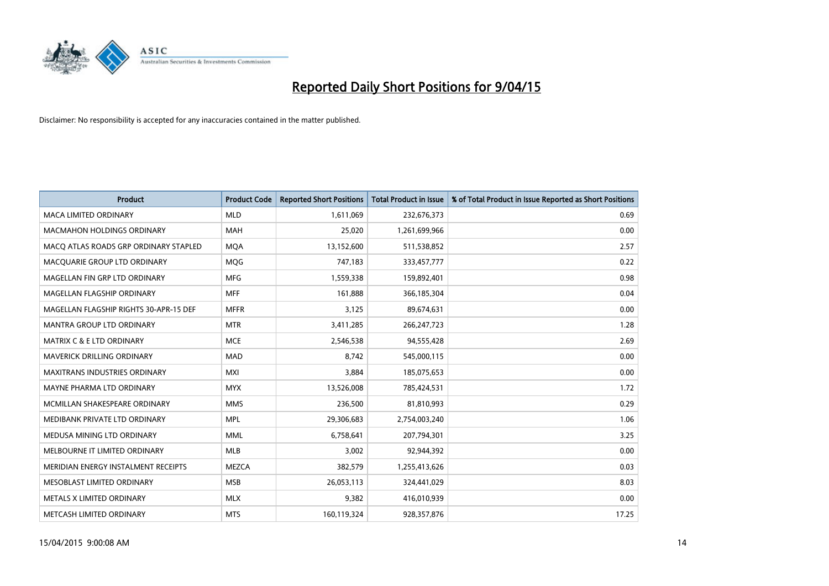

| <b>Product</b>                         | <b>Product Code</b> | <b>Reported Short Positions</b> | <b>Total Product in Issue</b> | % of Total Product in Issue Reported as Short Positions |
|----------------------------------------|---------------------|---------------------------------|-------------------------------|---------------------------------------------------------|
| <b>MACA LIMITED ORDINARY</b>           | <b>MLD</b>          | 1,611,069                       | 232,676,373                   | 0.69                                                    |
| MACMAHON HOLDINGS ORDINARY             | <b>MAH</b>          | 25,020                          | 1,261,699,966                 | 0.00                                                    |
| MACO ATLAS ROADS GRP ORDINARY STAPLED  | <b>MQA</b>          | 13,152,600                      | 511,538,852                   | 2.57                                                    |
| MACQUARIE GROUP LTD ORDINARY           | <b>MOG</b>          | 747,183                         | 333,457,777                   | 0.22                                                    |
| MAGELLAN FIN GRP LTD ORDINARY          | <b>MFG</b>          | 1,559,338                       | 159,892,401                   | 0.98                                                    |
| MAGELLAN FLAGSHIP ORDINARY             | <b>MFF</b>          | 161,888                         | 366,185,304                   | 0.04                                                    |
| MAGELLAN FLAGSHIP RIGHTS 30-APR-15 DEF | <b>MFFR</b>         | 3,125                           | 89,674,631                    | 0.00                                                    |
| MANTRA GROUP LTD ORDINARY              | <b>MTR</b>          | 3,411,285                       | 266, 247, 723                 | 1.28                                                    |
| <b>MATRIX C &amp; E LTD ORDINARY</b>   | <b>MCE</b>          | 2,546,538                       | 94,555,428                    | 2.69                                                    |
| <b>MAVERICK DRILLING ORDINARY</b>      | <b>MAD</b>          | 8,742                           | 545,000,115                   | 0.00                                                    |
| <b>MAXITRANS INDUSTRIES ORDINARY</b>   | MXI                 | 3,884                           | 185,075,653                   | 0.00                                                    |
| MAYNE PHARMA LTD ORDINARY              | <b>MYX</b>          | 13,526,008                      | 785,424,531                   | 1.72                                                    |
| MCMILLAN SHAKESPEARE ORDINARY          | <b>MMS</b>          | 236,500                         | 81,810,993                    | 0.29                                                    |
| MEDIBANK PRIVATE LTD ORDINARY          | <b>MPL</b>          | 29,306,683                      | 2,754,003,240                 | 1.06                                                    |
| MEDUSA MINING LTD ORDINARY             | <b>MML</b>          | 6,758,641                       | 207,794,301                   | 3.25                                                    |
| MELBOURNE IT LIMITED ORDINARY          | MLB                 | 3,002                           | 92,944,392                    | 0.00                                                    |
| MERIDIAN ENERGY INSTALMENT RECEIPTS    | MEZCA               | 382,579                         | 1,255,413,626                 | 0.03                                                    |
| MESOBLAST LIMITED ORDINARY             | <b>MSB</b>          | 26,053,113                      | 324,441,029                   | 8.03                                                    |
| METALS X LIMITED ORDINARY              | <b>MLX</b>          | 9,382                           | 416,010,939                   | 0.00                                                    |
| METCASH LIMITED ORDINARY               | <b>MTS</b>          | 160,119,324                     | 928,357,876                   | 17.25                                                   |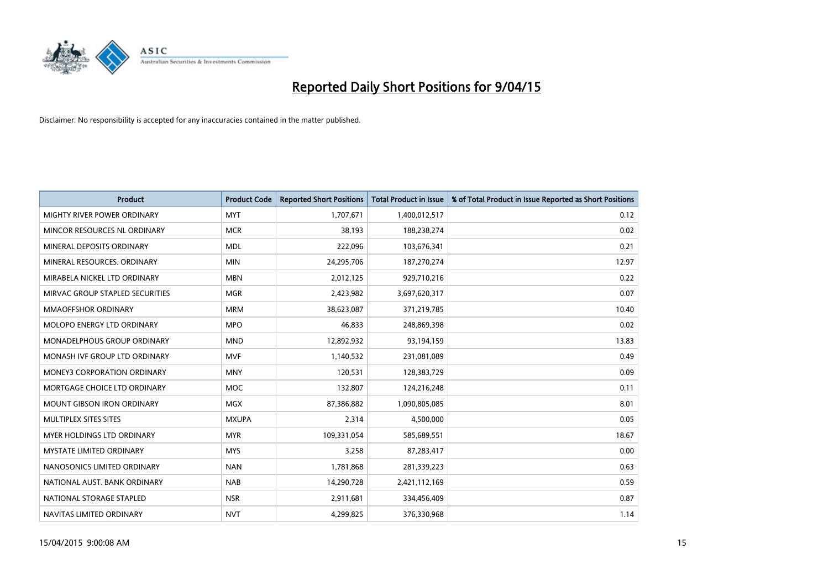

| <b>Product</b>                  | <b>Product Code</b> | <b>Reported Short Positions</b> | <b>Total Product in Issue</b> | % of Total Product in Issue Reported as Short Positions |
|---------------------------------|---------------------|---------------------------------|-------------------------------|---------------------------------------------------------|
| MIGHTY RIVER POWER ORDINARY     | <b>MYT</b>          | 1,707,671                       | 1,400,012,517                 | 0.12                                                    |
| MINCOR RESOURCES NL ORDINARY    | <b>MCR</b>          | 38,193                          | 188,238,274                   | 0.02                                                    |
| MINERAL DEPOSITS ORDINARY       | <b>MDL</b>          | 222,096                         | 103,676,341                   | 0.21                                                    |
| MINERAL RESOURCES. ORDINARY     | <b>MIN</b>          | 24,295,706                      | 187,270,274                   | 12.97                                                   |
| MIRABELA NICKEL LTD ORDINARY    | <b>MBN</b>          | 2,012,125                       | 929,710,216                   | 0.22                                                    |
| MIRVAC GROUP STAPLED SECURITIES | <b>MGR</b>          | 2,423,982                       | 3,697,620,317                 | 0.07                                                    |
| <b>MMAOFFSHOR ORDINARY</b>      | <b>MRM</b>          | 38,623,087                      | 371,219,785                   | 10.40                                                   |
| MOLOPO ENERGY LTD ORDINARY      | <b>MPO</b>          | 46,833                          | 248,869,398                   | 0.02                                                    |
| MONADELPHOUS GROUP ORDINARY     | <b>MND</b>          | 12,892,932                      | 93,194,159                    | 13.83                                                   |
| MONASH IVF GROUP LTD ORDINARY   | <b>MVF</b>          | 1,140,532                       | 231,081,089                   | 0.49                                                    |
| MONEY3 CORPORATION ORDINARY     | <b>MNY</b>          | 120,531                         | 128,383,729                   | 0.09                                                    |
| MORTGAGE CHOICE LTD ORDINARY    | <b>MOC</b>          | 132,807                         | 124,216,248                   | 0.11                                                    |
| MOUNT GIBSON IRON ORDINARY      | <b>MGX</b>          | 87,386,882                      | 1,090,805,085                 | 8.01                                                    |
| MULTIPLEX SITES SITES           | <b>MXUPA</b>        | 2,314                           | 4,500,000                     | 0.05                                                    |
| MYER HOLDINGS LTD ORDINARY      | <b>MYR</b>          | 109,331,054                     | 585,689,551                   | 18.67                                                   |
| MYSTATE LIMITED ORDINARY        | <b>MYS</b>          | 3,258                           | 87,283,417                    | 0.00                                                    |
| NANOSONICS LIMITED ORDINARY     | <b>NAN</b>          | 1,781,868                       | 281,339,223                   | 0.63                                                    |
| NATIONAL AUST, BANK ORDINARY    | <b>NAB</b>          | 14,290,728                      | 2,421,112,169                 | 0.59                                                    |
| NATIONAL STORAGE STAPLED        | <b>NSR</b>          | 2,911,681                       | 334,456,409                   | 0.87                                                    |
| NAVITAS LIMITED ORDINARY        | <b>NVT</b>          | 4,299,825                       | 376,330,968                   | 1.14                                                    |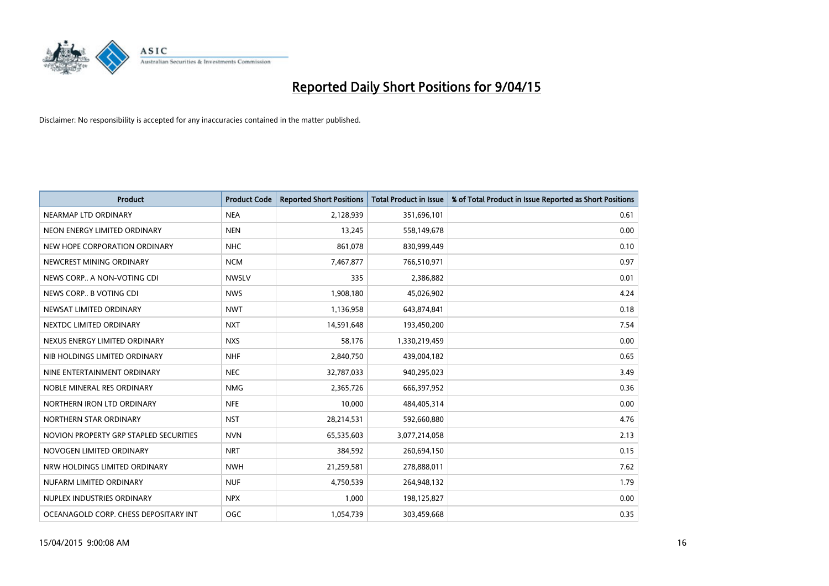

| <b>Product</b>                         | <b>Product Code</b> | <b>Reported Short Positions</b> | <b>Total Product in Issue</b> | % of Total Product in Issue Reported as Short Positions |
|----------------------------------------|---------------------|---------------------------------|-------------------------------|---------------------------------------------------------|
| NEARMAP LTD ORDINARY                   | <b>NEA</b>          | 2,128,939                       | 351,696,101                   | 0.61                                                    |
| NEON ENERGY LIMITED ORDINARY           | <b>NEN</b>          | 13,245                          | 558,149,678                   | 0.00                                                    |
| NEW HOPE CORPORATION ORDINARY          | <b>NHC</b>          | 861,078                         | 830,999,449                   | 0.10                                                    |
| NEWCREST MINING ORDINARY               | <b>NCM</b>          | 7,467,877                       | 766,510,971                   | 0.97                                                    |
| NEWS CORP A NON-VOTING CDI             | <b>NWSLV</b>        | 335                             | 2,386,882                     | 0.01                                                    |
| NEWS CORP B VOTING CDI                 | <b>NWS</b>          | 1,908,180                       | 45,026,902                    | 4.24                                                    |
| NEWSAT LIMITED ORDINARY                | <b>NWT</b>          | 1,136,958                       | 643,874,841                   | 0.18                                                    |
| NEXTDC LIMITED ORDINARY                | <b>NXT</b>          | 14,591,648                      | 193,450,200                   | 7.54                                                    |
| NEXUS ENERGY LIMITED ORDINARY          | <b>NXS</b>          | 58,176                          | 1,330,219,459                 | 0.00                                                    |
| NIB HOLDINGS LIMITED ORDINARY          | <b>NHF</b>          | 2,840,750                       | 439,004,182                   | 0.65                                                    |
| NINE ENTERTAINMENT ORDINARY            | <b>NEC</b>          | 32,787,033                      | 940,295,023                   | 3.49                                                    |
| NOBLE MINERAL RES ORDINARY             | <b>NMG</b>          | 2,365,726                       | 666,397,952                   | 0.36                                                    |
| NORTHERN IRON LTD ORDINARY             | <b>NFE</b>          | 10,000                          | 484,405,314                   | 0.00                                                    |
| NORTHERN STAR ORDINARY                 | <b>NST</b>          | 28,214,531                      | 592,660,880                   | 4.76                                                    |
| NOVION PROPERTY GRP STAPLED SECURITIES | <b>NVN</b>          | 65,535,603                      | 3,077,214,058                 | 2.13                                                    |
| NOVOGEN LIMITED ORDINARY               | <b>NRT</b>          | 384,592                         | 260,694,150                   | 0.15                                                    |
| NRW HOLDINGS LIMITED ORDINARY          | <b>NWH</b>          | 21,259,581                      | 278,888,011                   | 7.62                                                    |
| NUFARM LIMITED ORDINARY                | <b>NUF</b>          | 4,750,539                       | 264,948,132                   | 1.79                                                    |
| NUPLEX INDUSTRIES ORDINARY             | <b>NPX</b>          | 1,000                           | 198,125,827                   | 0.00                                                    |
| OCEANAGOLD CORP. CHESS DEPOSITARY INT  | OGC                 | 1,054,739                       | 303,459,668                   | 0.35                                                    |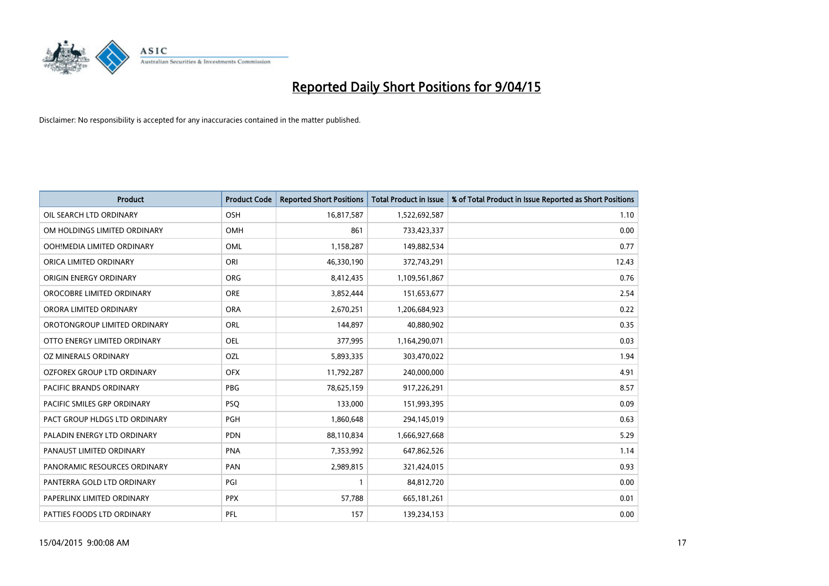

| <b>Product</b>                | <b>Product Code</b> | <b>Reported Short Positions</b> | <b>Total Product in Issue</b> | % of Total Product in Issue Reported as Short Positions |
|-------------------------------|---------------------|---------------------------------|-------------------------------|---------------------------------------------------------|
| OIL SEARCH LTD ORDINARY       | OSH                 | 16,817,587                      | 1,522,692,587                 | 1.10                                                    |
| OM HOLDINGS LIMITED ORDINARY  | OMH                 | 861                             | 733,423,337                   | 0.00                                                    |
| OOH!MEDIA LIMITED ORDINARY    | <b>OML</b>          | 1,158,287                       | 149,882,534                   | 0.77                                                    |
| ORICA LIMITED ORDINARY        | ORI                 | 46,330,190                      | 372,743,291                   | 12.43                                                   |
| ORIGIN ENERGY ORDINARY        | <b>ORG</b>          | 8,412,435                       | 1,109,561,867                 | 0.76                                                    |
| OROCOBRE LIMITED ORDINARY     | <b>ORE</b>          | 3,852,444                       | 151,653,677                   | 2.54                                                    |
| ORORA LIMITED ORDINARY        | <b>ORA</b>          | 2,670,251                       | 1,206,684,923                 | 0.22                                                    |
| OROTONGROUP LIMITED ORDINARY  | ORL                 | 144,897                         | 40,880,902                    | 0.35                                                    |
| OTTO ENERGY LIMITED ORDINARY  | <b>OEL</b>          | 377,995                         | 1,164,290,071                 | 0.03                                                    |
| <b>OZ MINERALS ORDINARY</b>   | <b>OZL</b>          | 5,893,335                       | 303,470,022                   | 1.94                                                    |
| OZFOREX GROUP LTD ORDINARY    | <b>OFX</b>          | 11,792,287                      | 240,000,000                   | 4.91                                                    |
| PACIFIC BRANDS ORDINARY       | <b>PBG</b>          | 78,625,159                      | 917,226,291                   | 8.57                                                    |
| PACIFIC SMILES GRP ORDINARY   | <b>PSQ</b>          | 133,000                         | 151,993,395                   | 0.09                                                    |
| PACT GROUP HLDGS LTD ORDINARY | PGH                 | 1,860,648                       | 294,145,019                   | 0.63                                                    |
| PALADIN ENERGY LTD ORDINARY   | <b>PDN</b>          | 88,110,834                      | 1,666,927,668                 | 5.29                                                    |
| PANAUST LIMITED ORDINARY      | <b>PNA</b>          | 7,353,992                       | 647,862,526                   | 1.14                                                    |
| PANORAMIC RESOURCES ORDINARY  | PAN                 | 2,989,815                       | 321,424,015                   | 0.93                                                    |
| PANTERRA GOLD LTD ORDINARY    | PGI                 | $\mathbf{1}$                    | 84,812,720                    | 0.00                                                    |
| PAPERLINX LIMITED ORDINARY    | <b>PPX</b>          | 57,788                          | 665,181,261                   | 0.01                                                    |
| PATTIES FOODS LTD ORDINARY    | PFL                 | 157                             | 139,234,153                   | 0.00                                                    |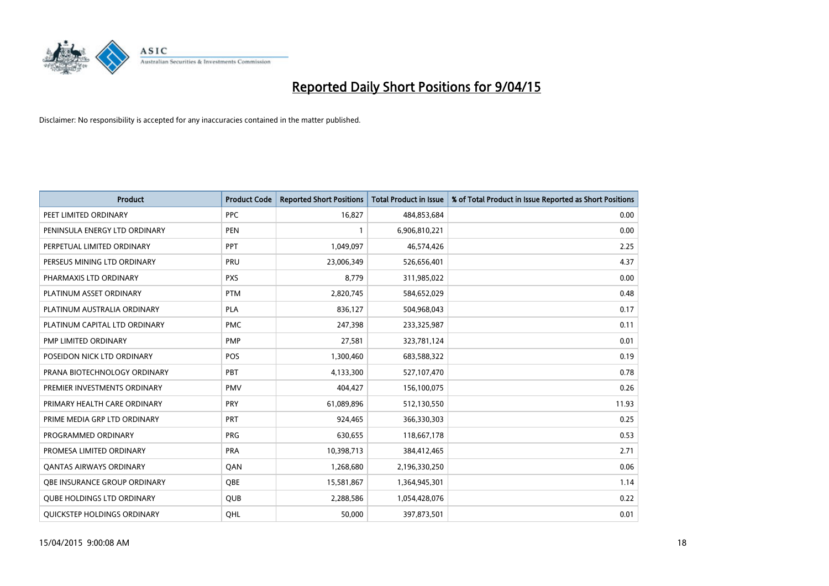

| <b>Product</b>                    | <b>Product Code</b> | <b>Reported Short Positions</b> | <b>Total Product in Issue</b> | % of Total Product in Issue Reported as Short Positions |
|-----------------------------------|---------------------|---------------------------------|-------------------------------|---------------------------------------------------------|
| PEET LIMITED ORDINARY             | <b>PPC</b>          | 16,827                          | 484,853,684                   | 0.00                                                    |
| PENINSULA ENERGY LTD ORDINARY     | <b>PEN</b>          |                                 | 6,906,810,221                 | 0.00                                                    |
| PERPETUAL LIMITED ORDINARY        | PPT                 | 1,049,097                       | 46,574,426                    | 2.25                                                    |
| PERSEUS MINING LTD ORDINARY       | PRU                 | 23,006,349                      | 526,656,401                   | 4.37                                                    |
| PHARMAXIS LTD ORDINARY            | <b>PXS</b>          | 8,779                           | 311,985,022                   | 0.00                                                    |
| PLATINUM ASSET ORDINARY           | <b>PTM</b>          | 2,820,745                       | 584,652,029                   | 0.48                                                    |
| PLATINUM AUSTRALIA ORDINARY       | <b>PLA</b>          | 836,127                         | 504,968,043                   | 0.17                                                    |
| PLATINUM CAPITAL LTD ORDINARY     | <b>PMC</b>          | 247,398                         | 233,325,987                   | 0.11                                                    |
| PMP LIMITED ORDINARY              | <b>PMP</b>          | 27,581                          | 323,781,124                   | 0.01                                                    |
| POSEIDON NICK LTD ORDINARY        | <b>POS</b>          | 1,300,460                       | 683,588,322                   | 0.19                                                    |
| PRANA BIOTECHNOLOGY ORDINARY      | PBT                 | 4,133,300                       | 527,107,470                   | 0.78                                                    |
| PREMIER INVESTMENTS ORDINARY      | <b>PMV</b>          | 404,427                         | 156,100,075                   | 0.26                                                    |
| PRIMARY HEALTH CARE ORDINARY      | <b>PRY</b>          | 61,089,896                      | 512,130,550                   | 11.93                                                   |
| PRIME MEDIA GRP LTD ORDINARY      | <b>PRT</b>          | 924,465                         | 366,330,303                   | 0.25                                                    |
| PROGRAMMED ORDINARY               | <b>PRG</b>          | 630,655                         | 118,667,178                   | 0.53                                                    |
| PROMESA LIMITED ORDINARY          | <b>PRA</b>          | 10,398,713                      | 384,412,465                   | 2.71                                                    |
| <b>QANTAS AIRWAYS ORDINARY</b>    | QAN                 | 1,268,680                       | 2,196,330,250                 | 0.06                                                    |
| OBE INSURANCE GROUP ORDINARY      | <b>OBE</b>          | 15,581,867                      | 1,364,945,301                 | 1.14                                                    |
| <b>QUBE HOLDINGS LTD ORDINARY</b> | QUB                 | 2,288,586                       | 1,054,428,076                 | 0.22                                                    |
| QUICKSTEP HOLDINGS ORDINARY       | QHL                 | 50,000                          | 397,873,501                   | 0.01                                                    |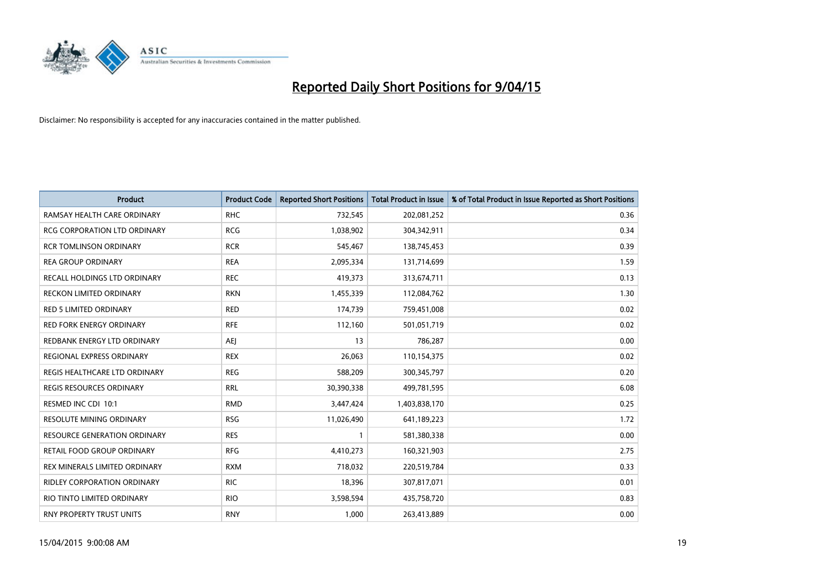

| <b>Product</b>                      | <b>Product Code</b> | <b>Reported Short Positions</b> | <b>Total Product in Issue</b> | % of Total Product in Issue Reported as Short Positions |
|-------------------------------------|---------------------|---------------------------------|-------------------------------|---------------------------------------------------------|
| RAMSAY HEALTH CARE ORDINARY         | <b>RHC</b>          | 732,545                         | 202,081,252                   | 0.36                                                    |
| <b>RCG CORPORATION LTD ORDINARY</b> | <b>RCG</b>          | 1,038,902                       | 304,342,911                   | 0.34                                                    |
| <b>RCR TOMLINSON ORDINARY</b>       | <b>RCR</b>          | 545,467                         | 138,745,453                   | 0.39                                                    |
| <b>REA GROUP ORDINARY</b>           | <b>REA</b>          | 2,095,334                       | 131,714,699                   | 1.59                                                    |
| RECALL HOLDINGS LTD ORDINARY        | <b>REC</b>          | 419,373                         | 313,674,711                   | 0.13                                                    |
| RECKON LIMITED ORDINARY             | <b>RKN</b>          | 1,455,339                       | 112,084,762                   | 1.30                                                    |
| RED 5 LIMITED ORDINARY              | <b>RED</b>          | 174,739                         | 759,451,008                   | 0.02                                                    |
| RED FORK ENERGY ORDINARY            | <b>RFE</b>          | 112,160                         | 501,051,719                   | 0.02                                                    |
| REDBANK ENERGY LTD ORDINARY         | AEJ                 | 13                              | 786,287                       | 0.00                                                    |
| REGIONAL EXPRESS ORDINARY           | <b>REX</b>          | 26,063                          | 110,154,375                   | 0.02                                                    |
| REGIS HEALTHCARE LTD ORDINARY       | <b>REG</b>          | 588,209                         | 300, 345, 797                 | 0.20                                                    |
| <b>REGIS RESOURCES ORDINARY</b>     | <b>RRL</b>          | 30,390,338                      | 499,781,595                   | 6.08                                                    |
| RESMED INC CDI 10:1                 | <b>RMD</b>          | 3,447,424                       | 1,403,838,170                 | 0.25                                                    |
| <b>RESOLUTE MINING ORDINARY</b>     | <b>RSG</b>          | 11,026,490                      | 641,189,223                   | 1.72                                                    |
| <b>RESOURCE GENERATION ORDINARY</b> | <b>RES</b>          | $\mathbf{1}$                    | 581,380,338                   | 0.00                                                    |
| RETAIL FOOD GROUP ORDINARY          | <b>RFG</b>          | 4,410,273                       | 160,321,903                   | 2.75                                                    |
| REX MINERALS LIMITED ORDINARY       | <b>RXM</b>          | 718,032                         | 220,519,784                   | 0.33                                                    |
| RIDLEY CORPORATION ORDINARY         | <b>RIC</b>          | 18,396                          | 307,817,071                   | 0.01                                                    |
| RIO TINTO LIMITED ORDINARY          | <b>RIO</b>          | 3,598,594                       | 435,758,720                   | 0.83                                                    |
| RNY PROPERTY TRUST UNITS            | <b>RNY</b>          | 1,000                           | 263,413,889                   | 0.00                                                    |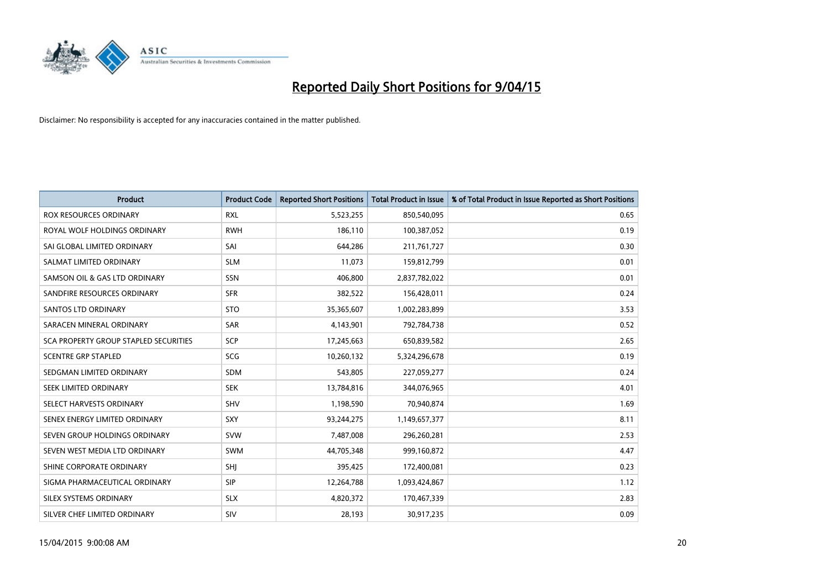

| <b>Product</b>                        | <b>Product Code</b> | <b>Reported Short Positions</b> | <b>Total Product in Issue</b> | % of Total Product in Issue Reported as Short Positions |
|---------------------------------------|---------------------|---------------------------------|-------------------------------|---------------------------------------------------------|
| <b>ROX RESOURCES ORDINARY</b>         | <b>RXL</b>          | 5,523,255                       | 850,540,095                   | 0.65                                                    |
| ROYAL WOLF HOLDINGS ORDINARY          | <b>RWH</b>          | 186,110                         | 100,387,052                   | 0.19                                                    |
| SAI GLOBAL LIMITED ORDINARY           | SAI                 | 644,286                         | 211,761,727                   | 0.30                                                    |
| SALMAT LIMITED ORDINARY               | <b>SLM</b>          | 11,073                          | 159,812,799                   | 0.01                                                    |
| SAMSON OIL & GAS LTD ORDINARY         | SSN                 | 406,800                         | 2,837,782,022                 | 0.01                                                    |
| SANDFIRE RESOURCES ORDINARY           | <b>SFR</b>          | 382,522                         | 156,428,011                   | 0.24                                                    |
| SANTOS LTD ORDINARY                   | <b>STO</b>          | 35,365,607                      | 1,002,283,899                 | 3.53                                                    |
| SARACEN MINERAL ORDINARY              | SAR                 | 4,143,901                       | 792,784,738                   | 0.52                                                    |
| SCA PROPERTY GROUP STAPLED SECURITIES | <b>SCP</b>          | 17,245,663                      | 650,839,582                   | 2.65                                                    |
| <b>SCENTRE GRP STAPLED</b>            | <b>SCG</b>          | 10,260,132                      | 5,324,296,678                 | 0.19                                                    |
| SEDGMAN LIMITED ORDINARY              | SDM                 | 543,805                         | 227,059,277                   | 0.24                                                    |
| <b>SEEK LIMITED ORDINARY</b>          | <b>SEK</b>          | 13,784,816                      | 344,076,965                   | 4.01                                                    |
| SELECT HARVESTS ORDINARY              | SHV                 | 1,198,590                       | 70,940,874                    | 1.69                                                    |
| SENEX ENERGY LIMITED ORDINARY         | SXY                 | 93,244,275                      | 1,149,657,377                 | 8.11                                                    |
| SEVEN GROUP HOLDINGS ORDINARY         | <b>SVW</b>          | 7,487,008                       | 296,260,281                   | 2.53                                                    |
| SEVEN WEST MEDIA LTD ORDINARY         | SWM                 | 44,705,348                      | 999,160,872                   | 4.47                                                    |
| SHINE CORPORATE ORDINARY              | SHJ                 | 395,425                         | 172,400,081                   | 0.23                                                    |
| SIGMA PHARMACEUTICAL ORDINARY         | <b>SIP</b>          | 12,264,788                      | 1,093,424,867                 | 1.12                                                    |
| SILEX SYSTEMS ORDINARY                | <b>SLX</b>          | 4,820,372                       | 170,467,339                   | 2.83                                                    |
| SILVER CHEF LIMITED ORDINARY          | SIV                 | 28,193                          | 30,917,235                    | 0.09                                                    |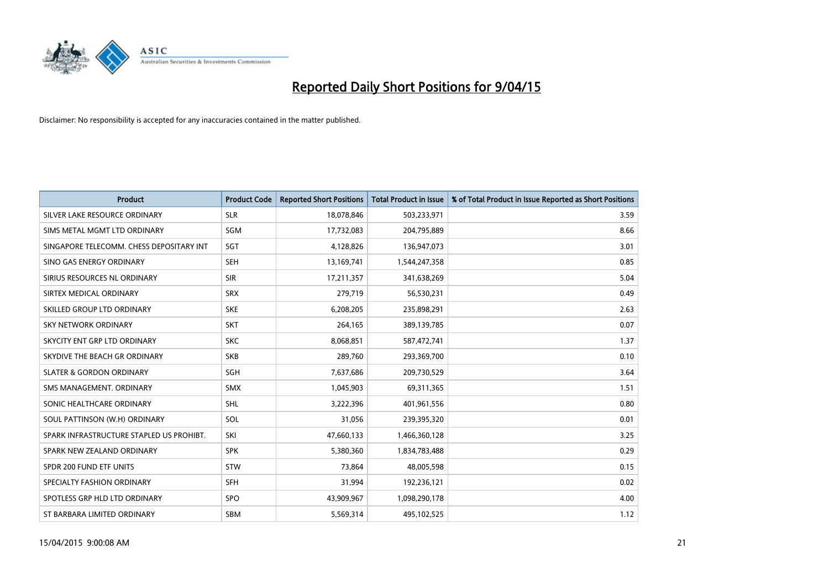

| <b>Product</b>                           | <b>Product Code</b> | <b>Reported Short Positions</b> | <b>Total Product in Issue</b> | % of Total Product in Issue Reported as Short Positions |
|------------------------------------------|---------------------|---------------------------------|-------------------------------|---------------------------------------------------------|
| SILVER LAKE RESOURCE ORDINARY            | <b>SLR</b>          | 18,078,846                      | 503,233,971                   | 3.59                                                    |
| SIMS METAL MGMT LTD ORDINARY             | <b>SGM</b>          | 17,732,083                      | 204,795,889                   | 8.66                                                    |
| SINGAPORE TELECOMM. CHESS DEPOSITARY INT | SGT                 | 4,128,826                       | 136,947,073                   | 3.01                                                    |
| SINO GAS ENERGY ORDINARY                 | <b>SEH</b>          | 13,169,741                      | 1,544,247,358                 | 0.85                                                    |
| SIRIUS RESOURCES NL ORDINARY             | <b>SIR</b>          | 17,211,357                      | 341,638,269                   | 5.04                                                    |
| SIRTEX MEDICAL ORDINARY                  | <b>SRX</b>          | 279,719                         | 56,530,231                    | 0.49                                                    |
| SKILLED GROUP LTD ORDINARY               | <b>SKE</b>          | 6,208,205                       | 235,898,291                   | 2.63                                                    |
| SKY NETWORK ORDINARY                     | <b>SKT</b>          | 264,165                         | 389,139,785                   | 0.07                                                    |
| SKYCITY ENT GRP LTD ORDINARY             | <b>SKC</b>          | 8,068,851                       | 587,472,741                   | 1.37                                                    |
| SKYDIVE THE BEACH GR ORDINARY            | <b>SKB</b>          | 289,760                         | 293,369,700                   | 0.10                                                    |
| <b>SLATER &amp; GORDON ORDINARY</b>      | SGH                 | 7,637,686                       | 209,730,529                   | 3.64                                                    |
| SMS MANAGEMENT, ORDINARY                 | SMX                 | 1,045,903                       | 69,311,365                    | 1.51                                                    |
| SONIC HEALTHCARE ORDINARY                | SHL                 | 3,222,396                       | 401,961,556                   | 0.80                                                    |
| SOUL PATTINSON (W.H) ORDINARY            | SOL                 | 31,056                          | 239,395,320                   | 0.01                                                    |
| SPARK INFRASTRUCTURE STAPLED US PROHIBT. | SKI                 | 47,660,133                      | 1,466,360,128                 | 3.25                                                    |
| SPARK NEW ZEALAND ORDINARY               | <b>SPK</b>          | 5,380,360                       | 1,834,783,488                 | 0.29                                                    |
| SPDR 200 FUND ETF UNITS                  | STW                 | 73,864                          | 48,005,598                    | 0.15                                                    |
| SPECIALTY FASHION ORDINARY               | <b>SFH</b>          | 31,994                          | 192,236,121                   | 0.02                                                    |
| SPOTLESS GRP HLD LTD ORDINARY            | <b>SPO</b>          | 43,909,967                      | 1,098,290,178                 | 4.00                                                    |
| ST BARBARA LIMITED ORDINARY              | <b>SBM</b>          | 5,569,314                       | 495,102,525                   | 1.12                                                    |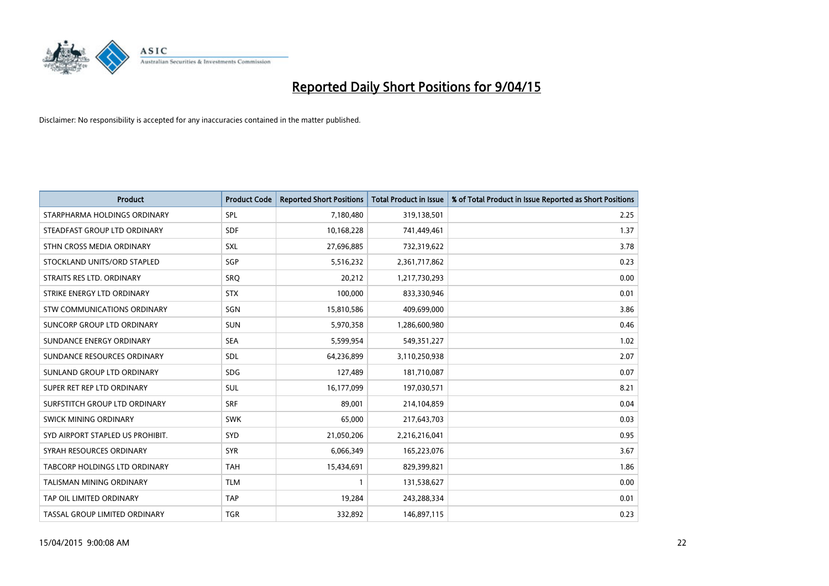

| <b>Product</b>                   | <b>Product Code</b> | <b>Reported Short Positions</b> | <b>Total Product in Issue</b> | % of Total Product in Issue Reported as Short Positions |
|----------------------------------|---------------------|---------------------------------|-------------------------------|---------------------------------------------------------|
| STARPHARMA HOLDINGS ORDINARY     | <b>SPL</b>          | 7,180,480                       | 319,138,501                   | 2.25                                                    |
| STEADFAST GROUP LTD ORDINARY     | <b>SDF</b>          | 10,168,228                      | 741,449,461                   | 1.37                                                    |
| STHN CROSS MEDIA ORDINARY        | <b>SXL</b>          | 27,696,885                      | 732,319,622                   | 3.78                                                    |
| STOCKLAND UNITS/ORD STAPLED      | SGP                 | 5,516,232                       | 2,361,717,862                 | 0.23                                                    |
| STRAITS RES LTD. ORDINARY        | SRO                 | 20,212                          | 1,217,730,293                 | 0.00                                                    |
| STRIKE ENERGY LTD ORDINARY       | <b>STX</b>          | 100,000                         | 833,330,946                   | 0.01                                                    |
| STW COMMUNICATIONS ORDINARY      | SGN                 | 15,810,586                      | 409,699,000                   | 3.86                                                    |
| SUNCORP GROUP LTD ORDINARY       | <b>SUN</b>          | 5,970,358                       | 1,286,600,980                 | 0.46                                                    |
| SUNDANCE ENERGY ORDINARY         | <b>SEA</b>          | 5,599,954                       | 549,351,227                   | 1.02                                                    |
| SUNDANCE RESOURCES ORDINARY      | <b>SDL</b>          | 64,236,899                      | 3,110,250,938                 | 2.07                                                    |
| SUNLAND GROUP LTD ORDINARY       | <b>SDG</b>          | 127,489                         | 181,710,087                   | 0.07                                                    |
| SUPER RET REP LTD ORDINARY       | <b>SUL</b>          | 16,177,099                      | 197,030,571                   | 8.21                                                    |
| SURFSTITCH GROUP LTD ORDINARY    | <b>SRF</b>          | 89,001                          | 214,104,859                   | 0.04                                                    |
| SWICK MINING ORDINARY            | <b>SWK</b>          | 65,000                          | 217,643,703                   | 0.03                                                    |
| SYD AIRPORT STAPLED US PROHIBIT. | SYD                 | 21,050,206                      | 2,216,216,041                 | 0.95                                                    |
| SYRAH RESOURCES ORDINARY         | <b>SYR</b>          | 6,066,349                       | 165,223,076                   | 3.67                                                    |
| TABCORP HOLDINGS LTD ORDINARY    | <b>TAH</b>          | 15,434,691                      | 829,399,821                   | 1.86                                                    |
| TALISMAN MINING ORDINARY         | <b>TLM</b>          | 1                               | 131,538,627                   | 0.00                                                    |
| TAP OIL LIMITED ORDINARY         | <b>TAP</b>          | 19,284                          | 243,288,334                   | 0.01                                                    |
| TASSAL GROUP LIMITED ORDINARY    | <b>TGR</b>          | 332,892                         | 146,897,115                   | 0.23                                                    |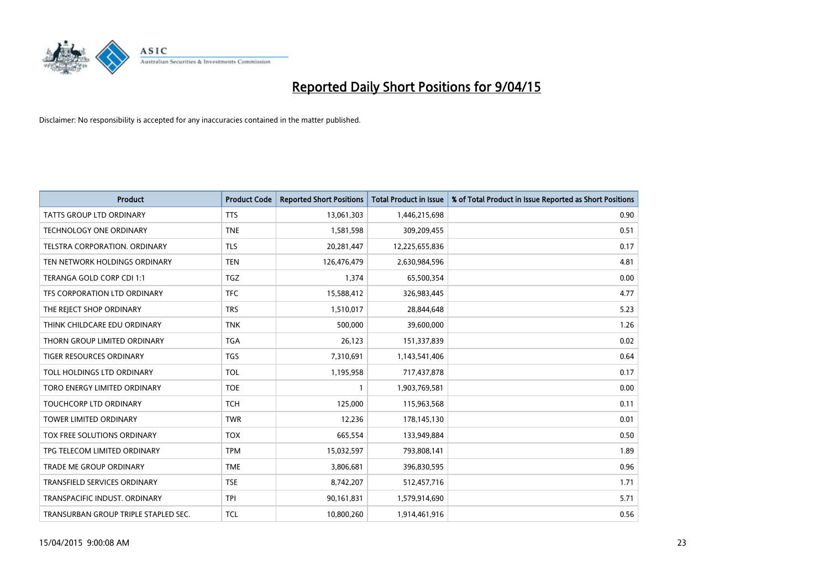

| <b>Product</b>                       | <b>Product Code</b> | <b>Reported Short Positions</b> | <b>Total Product in Issue</b> | % of Total Product in Issue Reported as Short Positions |
|--------------------------------------|---------------------|---------------------------------|-------------------------------|---------------------------------------------------------|
| <b>TATTS GROUP LTD ORDINARY</b>      | <b>TTS</b>          | 13,061,303                      | 1,446,215,698                 | 0.90                                                    |
| TECHNOLOGY ONE ORDINARY              | <b>TNE</b>          | 1,581,598                       | 309,209,455                   | 0.51                                                    |
| <b>TELSTRA CORPORATION, ORDINARY</b> | <b>TLS</b>          | 20,281,447                      | 12,225,655,836                | 0.17                                                    |
| TEN NETWORK HOLDINGS ORDINARY        | <b>TEN</b>          | 126,476,479                     | 2,630,984,596                 | 4.81                                                    |
| TERANGA GOLD CORP CDI 1:1            | <b>TGZ</b>          | 1,374                           | 65,500,354                    | 0.00                                                    |
| TFS CORPORATION LTD ORDINARY         | <b>TFC</b>          | 15,588,412                      | 326,983,445                   | 4.77                                                    |
| THE REJECT SHOP ORDINARY             | <b>TRS</b>          | 1,510,017                       | 28,844,648                    | 5.23                                                    |
| THINK CHILDCARE EDU ORDINARY         | <b>TNK</b>          | 500,000                         | 39,600,000                    | 1.26                                                    |
| THORN GROUP LIMITED ORDINARY         | <b>TGA</b>          | 26,123                          | 151,337,839                   | 0.02                                                    |
| <b>TIGER RESOURCES ORDINARY</b>      | <b>TGS</b>          | 7,310,691                       | 1,143,541,406                 | 0.64                                                    |
| TOLL HOLDINGS LTD ORDINARY           | <b>TOL</b>          | 1,195,958                       | 717,437,878                   | 0.17                                                    |
| TORO ENERGY LIMITED ORDINARY         | <b>TOE</b>          | $\mathbf{1}$                    | 1,903,769,581                 | 0.00                                                    |
| TOUCHCORP LTD ORDINARY               | <b>TCH</b>          | 125,000                         | 115,963,568                   | 0.11                                                    |
| <b>TOWER LIMITED ORDINARY</b>        | <b>TWR</b>          | 12,236                          | 178,145,130                   | 0.01                                                    |
| TOX FREE SOLUTIONS ORDINARY          | <b>TOX</b>          | 665,554                         | 133,949,884                   | 0.50                                                    |
| TPG TELECOM LIMITED ORDINARY         | <b>TPM</b>          | 15,032,597                      | 793,808,141                   | 1.89                                                    |
| <b>TRADE ME GROUP ORDINARY</b>       | <b>TME</b>          | 3,806,681                       | 396,830,595                   | 0.96                                                    |
| TRANSFIELD SERVICES ORDINARY         | <b>TSE</b>          | 8,742,207                       | 512,457,716                   | 1.71                                                    |
| TRANSPACIFIC INDUST, ORDINARY        | <b>TPI</b>          | 90,161,831                      | 1,579,914,690                 | 5.71                                                    |
| TRANSURBAN GROUP TRIPLE STAPLED SEC. | <b>TCL</b>          | 10,800,260                      | 1,914,461,916                 | 0.56                                                    |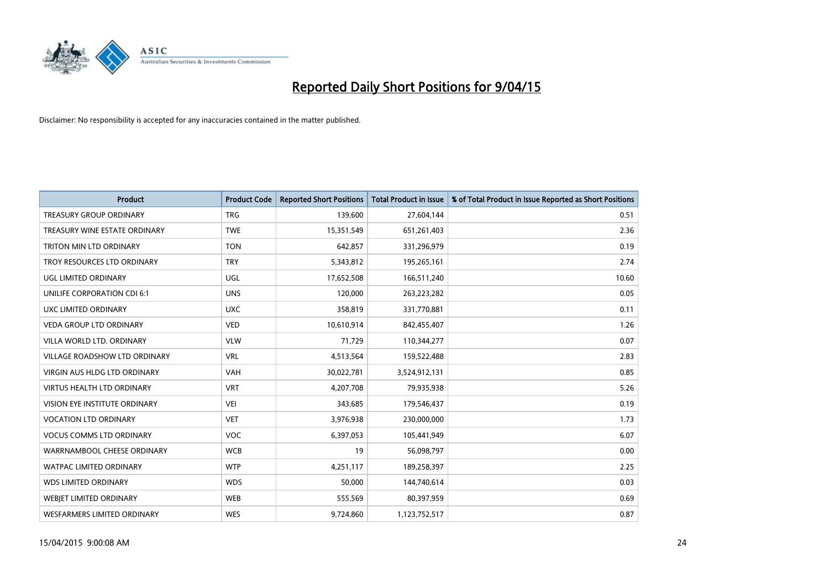

| <b>Product</b>                    | <b>Product Code</b> | <b>Reported Short Positions</b> | <b>Total Product in Issue</b> | % of Total Product in Issue Reported as Short Positions |
|-----------------------------------|---------------------|---------------------------------|-------------------------------|---------------------------------------------------------|
| <b>TREASURY GROUP ORDINARY</b>    | <b>TRG</b>          | 139,600                         | 27,604,144                    | 0.51                                                    |
| TREASURY WINE ESTATE ORDINARY     | <b>TWE</b>          | 15,351,549                      | 651,261,403                   | 2.36                                                    |
| TRITON MIN LTD ORDINARY           | <b>TON</b>          | 642,857                         | 331,296,979                   | 0.19                                                    |
| TROY RESOURCES LTD ORDINARY       | <b>TRY</b>          | 5,343,812                       | 195,265,161                   | 2.74                                                    |
| UGL LIMITED ORDINARY              | UGL                 | 17,652,508                      | 166,511,240                   | 10.60                                                   |
| UNILIFE CORPORATION CDI 6:1       | <b>UNS</b>          | 120,000                         | 263,223,282                   | 0.05                                                    |
| UXC LIMITED ORDINARY              | <b>UXC</b>          | 358,819                         | 331,770,881                   | 0.11                                                    |
| <b>VEDA GROUP LTD ORDINARY</b>    | <b>VED</b>          | 10,610,914                      | 842,455,407                   | 1.26                                                    |
| VILLA WORLD LTD, ORDINARY         | <b>VLW</b>          | 71,729                          | 110,344,277                   | 0.07                                                    |
| VILLAGE ROADSHOW LTD ORDINARY     | <b>VRL</b>          | 4,513,564                       | 159,522,488                   | 2.83                                                    |
| VIRGIN AUS HLDG LTD ORDINARY      | <b>VAH</b>          | 30,022,781                      | 3,524,912,131                 | 0.85                                                    |
| <b>VIRTUS HEALTH LTD ORDINARY</b> | <b>VRT</b>          | 4,207,708                       | 79,935,938                    | 5.26                                                    |
| VISION EYE INSTITUTE ORDINARY     | <b>VEI</b>          | 343,685                         | 179,546,437                   | 0.19                                                    |
| <b>VOCATION LTD ORDINARY</b>      | <b>VET</b>          | 3,976,938                       | 230,000,000                   | 1.73                                                    |
| <b>VOCUS COMMS LTD ORDINARY</b>   | <b>VOC</b>          | 6,397,053                       | 105,441,949                   | 6.07                                                    |
| WARRNAMBOOL CHEESE ORDINARY       | <b>WCB</b>          | 19                              | 56,098,797                    | 0.00                                                    |
| WATPAC LIMITED ORDINARY           | <b>WTP</b>          | 4,251,117                       | 189,258,397                   | 2.25                                                    |
| <b>WDS LIMITED ORDINARY</b>       | <b>WDS</b>          | 50,000                          | 144,740,614                   | 0.03                                                    |
| WEBJET LIMITED ORDINARY           | <b>WEB</b>          | 555,569                         | 80,397,959                    | 0.69                                                    |
| WESFARMERS LIMITED ORDINARY       | <b>WES</b>          | 9,724,860                       | 1,123,752,517                 | 0.87                                                    |